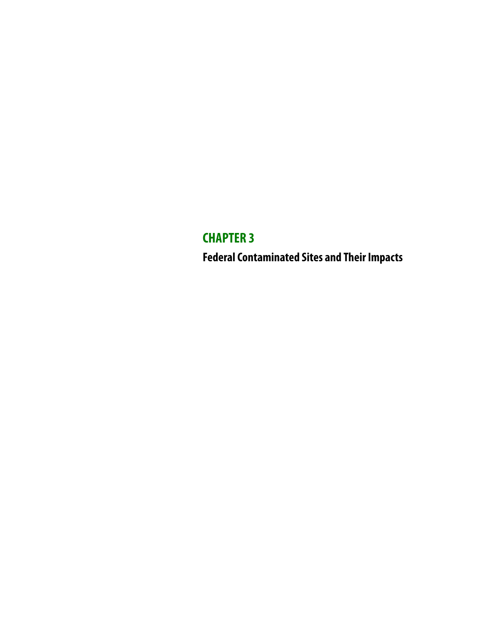# **CHAPTER 3 Federal Contaminated Sites and Their Impacts**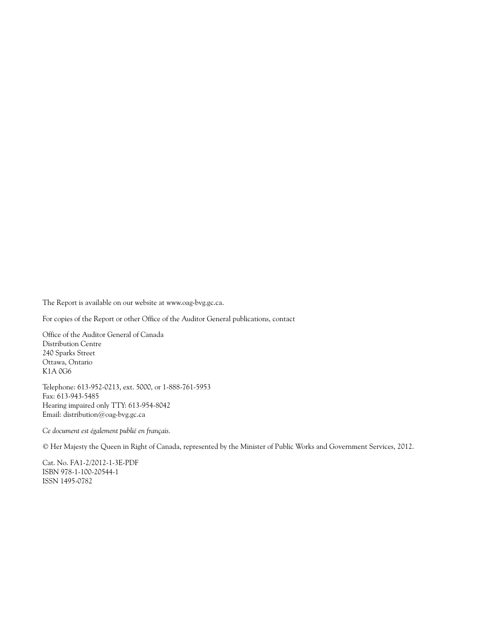The Report is available on our website at www.oag-bvg.gc.ca.

For copies of the Report or other Office of the Auditor General publications, contact

Office of the Auditor General of Canada Distribution Centre 240 Sparks Street Ottawa, Ontario K1A 0G6

Telephone: 613-952-0213, ext. 5000, or 1-888-761-5953 Fax: 613-943-5485 Hearing impaired only TTY: 613-954-8042 Email: distribution@oag-bvg.gc.ca

*Ce document est également publié en français.*

© Her Majesty the Queen in Right of Canada, represented by the Minister of Public Works and Government Services, 2012.

Cat. No. FA1-2/2012-1-3E-PDF ISBN 978-1-100-20544-1 ISSN 1495-0782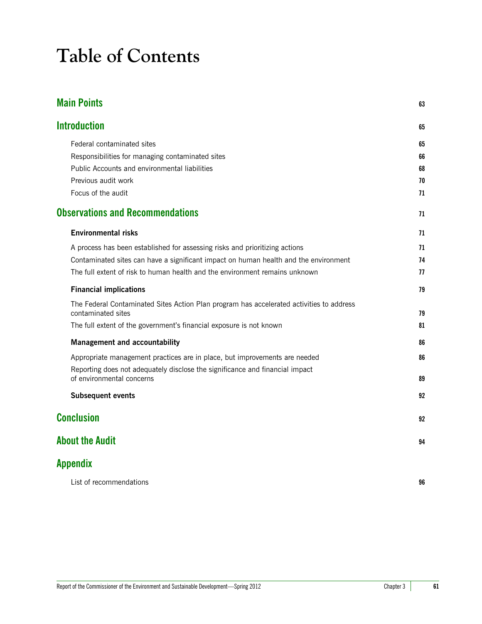# **Table of Contents**

| <b>Main Points</b>                                                                                             | 63 |
|----------------------------------------------------------------------------------------------------------------|----|
| <b>Introduction</b>                                                                                            | 65 |
| Federal contaminated sites                                                                                     | 65 |
| Responsibilities for managing contaminated sites                                                               | 66 |
| Public Accounts and environmental liabilities                                                                  | 68 |
| Previous audit work                                                                                            | 70 |
| Focus of the audit                                                                                             | 71 |
| <b>Observations and Recommendations</b>                                                                        | 71 |
| <b>Environmental risks</b>                                                                                     | 71 |
| A process has been established for assessing risks and prioritizing actions                                    | 71 |
| Contaminated sites can have a significant impact on human health and the environment                           | 74 |
| The full extent of risk to human health and the environment remains unknown                                    | 77 |
| <b>Financial implications</b>                                                                                  | 79 |
| The Federal Contaminated Sites Action Plan program has accelerated activities to address<br>contaminated sites | 79 |
| The full extent of the government's financial exposure is not known                                            | 81 |
| <b>Management and accountability</b>                                                                           | 86 |
| Appropriate management practices are in place, but improvements are needed                                     | 86 |
| Reporting does not adequately disclose the significance and financial impact<br>of environmental concerns      | 89 |
| <b>Subsequent events</b>                                                                                       | 92 |
| <b>Conclusion</b>                                                                                              | 92 |
| <b>About the Audit</b>                                                                                         | 94 |
| <b>Appendix</b>                                                                                                |    |
| List of recommendations                                                                                        | 96 |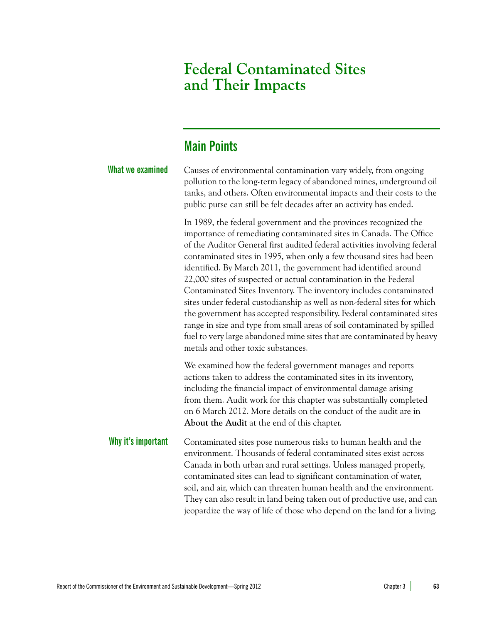# **Federal Contaminated Sites and Their Impacts**

# <span id="page-4-0"></span>**Main Points**

| <b>What we examined</b> | Causes of environmental contamination vary widely, from ongoing<br>pollution to the long-term legacy of abandoned mines, underground oil<br>tanks, and others. Often environmental impacts and their costs to the<br>public purse can still be felt decades after an activity has ended.                                                                                                                                                                                                                                                                                                                                                                                                                                                                                                                                                                |
|-------------------------|---------------------------------------------------------------------------------------------------------------------------------------------------------------------------------------------------------------------------------------------------------------------------------------------------------------------------------------------------------------------------------------------------------------------------------------------------------------------------------------------------------------------------------------------------------------------------------------------------------------------------------------------------------------------------------------------------------------------------------------------------------------------------------------------------------------------------------------------------------|
|                         | In 1989, the federal government and the provinces recognized the<br>importance of remediating contaminated sites in Canada. The Office<br>of the Auditor General first audited federal activities involving federal<br>contaminated sites in 1995, when only a few thousand sites had been<br>identified. By March 2011, the government had identified around<br>22,000 sites of suspected or actual contamination in the Federal<br>Contaminated Sites Inventory. The inventory includes contaminated<br>sites under federal custodianship as well as non-federal sites for which<br>the government has accepted responsibility. Federal contaminated sites<br>range in size and type from small areas of soil contaminated by spilled<br>fuel to very large abandoned mine sites that are contaminated by heavy<br>metals and other toxic substances. |
|                         | We examined how the federal government manages and reports<br>actions taken to address the contaminated sites in its inventory,<br>including the financial impact of environmental damage arising<br>from them. Audit work for this chapter was substantially completed<br>on 6 March 2012. More details on the conduct of the audit are in<br>About the Audit at the end of this chapter.                                                                                                                                                                                                                                                                                                                                                                                                                                                              |
| Why it's important      | Contaminated sites pose numerous risks to human health and the<br>environment. Thousands of federal contaminated sites exist across<br>Canada in both urban and rural settings. Unless managed properly,<br>contaminated sites can lead to significant contamination of water,<br>soil, and air, which can threaten human health and the environment.<br>They can also result in land being taken out of productive use, and can<br>jeopardize the way of life of those who depend on the land for a living.                                                                                                                                                                                                                                                                                                                                            |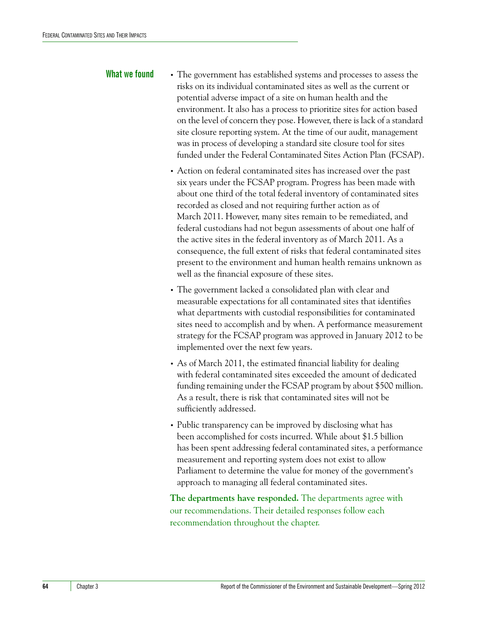- **What we found •** The government has established systems and processes to assess the risks on its individual contaminated sites as well as the current or potential adverse impact of a site on human health and the environment. It also has a process to prioritize sites for action based on the level of concern they pose. However, there is lack of a standard site closure reporting system. At the time of our audit, management was in process of developing a standard site closure tool for sites funded under the Federal Contaminated Sites Action Plan (FCSAP).
	- **•** Action on federal contaminated sites has increased over the past six years under the FCSAP program. Progress has been made with about one third of the total federal inventory of contaminated sites recorded as closed and not requiring further action as of March 2011. However, many sites remain to be remediated, and federal custodians had not begun assessments of about one half of the active sites in the federal inventory as of March 2011. As a consequence, the full extent of risks that federal contaminated sites present to the environment and human health remains unknown as well as the financial exposure of these sites.
	- **•** The government lacked a consolidated plan with clear and measurable expectations for all contaminated sites that identifies what departments with custodial responsibilities for contaminated sites need to accomplish and by when. A performance measurement strategy for the FCSAP program was approved in January 2012 to be implemented over the next few years.
	- **•** As of March 2011, the estimated financial liability for dealing with federal contaminated sites exceeded the amount of dedicated funding remaining under the FCSAP program by about \$500 million. As a result, there is risk that contaminated sites will not be sufficiently addressed.
	- **•** Public transparency can be improved by disclosing what has been accomplished for costs incurred. While about \$1.5 billion has been spent addressing federal contaminated sites, a performance measurement and reporting system does not exist to allow Parliament to determine the value for money of the government's approach to managing all federal contaminated sites.

**The departments have responded.** The departments agree with our recommendations. Their detailed responses follow each recommendation throughout the chapter.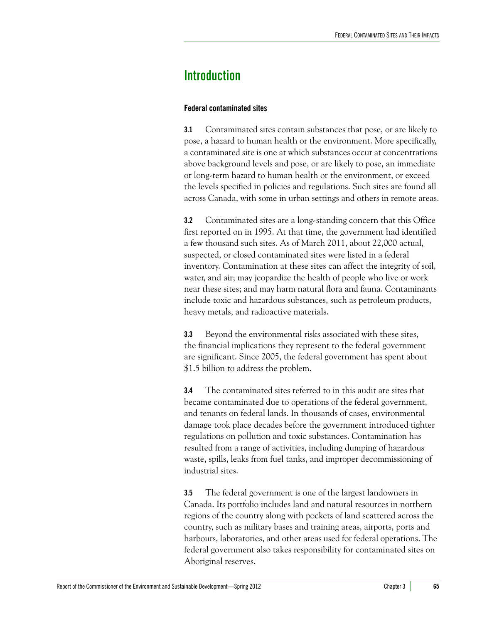# <span id="page-6-0"></span>**Introduction**

# <span id="page-6-1"></span>**Federal contaminated sites**

**3.1** Contaminated sites contain substances that pose, or are likely to pose, a hazard to human health or the environment. More specifically, a contaminated site is one at which substances occur at concentrations above background levels and pose, or are likely to pose, an immediate or long-term hazard to human health or the environment, or exceed the levels specified in policies and regulations. Such sites are found all across Canada, with some in urban settings and others in remote areas.

**3.2** Contaminated sites are a long-standing concern that this Office first reported on in 1995. At that time, the government had identified a few thousand such sites. As of March 2011, about 22,000 actual, suspected, or closed contaminated sites were listed in a federal inventory. Contamination at these sites can affect the integrity of soil, water, and air; may jeopardize the health of people who live or work near these sites; and may harm natural flora and fauna. Contaminants include toxic and hazardous substances, such as petroleum products, heavy metals, and radioactive materials.

**3.3** Beyond the environmental risks associated with these sites, the financial implications they represent to the federal government are significant. Since 2005, the federal government has spent about \$1.5 billion to address the problem.

**3.4** The contaminated sites referred to in this audit are sites that became contaminated due to operations of the federal government, and tenants on federal lands. In thousands of cases, environmental damage took place decades before the government introduced tighter regulations on pollution and toxic substances. Contamination has resulted from a range of activities, including dumping of hazardous waste, spills, leaks from fuel tanks, and improper decommissioning of industrial sites.

**3.5** The federal government is one of the largest landowners in Canada. Its portfolio includes land and natural resources in northern regions of the country along with pockets of land scattered across the country, such as military bases and training areas, airports, ports and harbours, laboratories, and other areas used for federal operations. The federal government also takes responsibility for contaminated sites on Aboriginal reserves.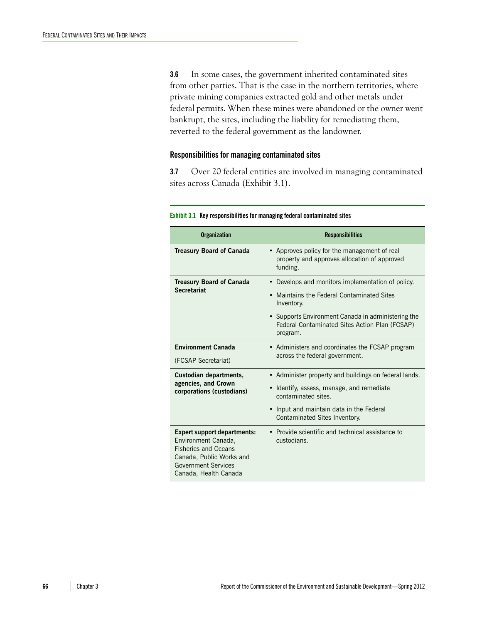**3.6** In some cases, the government inherited contaminated sites from other parties. That is the case in the northern territories, where private mining companies extracted gold and other metals under federal permits. When these mines were abandoned or the owner went bankrupt, the sites, including the liability for remediating them, reverted to the federal government as the landowner.

### <span id="page-7-0"></span>**Responsibilities for managing contaminated sites**

**3.7** Over 20 federal entities are involved in managing contaminated sites across Canada (Exhibit 3.1).

| <b>Organization</b>                                                                                                                                                         | <b>Responsibilities</b>                                                                                                                                                                                                           |
|-----------------------------------------------------------------------------------------------------------------------------------------------------------------------------|-----------------------------------------------------------------------------------------------------------------------------------------------------------------------------------------------------------------------------------|
| <b>Treasury Board of Canada</b>                                                                                                                                             | • Approves policy for the management of real<br>property and approves allocation of approved<br>funding.                                                                                                                          |
| <b>Treasury Board of Canada</b><br><b>Secretariat</b>                                                                                                                       | • Develops and monitors implementation of policy.<br>• Maintains the Federal Contaminated Sites<br>Inventory.<br>• Supports Environment Canada in administering the<br>Federal Contaminated Sites Action Plan (FCSAP)<br>program. |
| <b>Environment Canada</b><br>(FCSAP Secretariat)                                                                                                                            | • Administers and coordinates the FCSAP program<br>across the federal government.                                                                                                                                                 |
| Custodian departments,<br>agencies, and Crown<br>corporations (custodians)                                                                                                  | • Administer property and buildings on federal lands.<br>• Identify, assess, manage, and remediate<br>contaminated sites.<br>• Input and maintain data in the Federal<br>Contaminated Sites Inventory.                            |
| <b>Expert support departments:</b><br>Environment Canada,<br><b>Fisheries and Oceans</b><br>Canada, Public Works and<br><b>Government Services</b><br>Canada, Health Canada | • Provide scientific and technical assistance to<br>custodians.                                                                                                                                                                   |

#### **Exhibit 3.1 Key responsibilities for managing federal contaminated sites**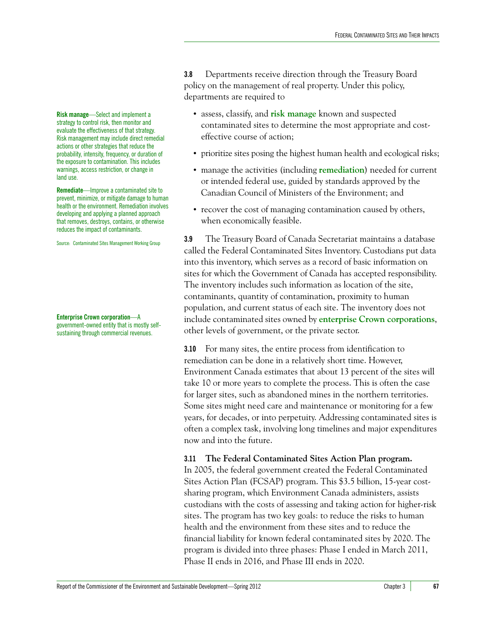**3.8** Departments receive direction through the Treasury Board policy on the management of real property. Under this policy, departments are required to

- **•** assess, classify, and **risk manage** known and suspected contaminated sites to determine the most appropriate and costeffective course of action;
- prioritize sites posing the highest human health and ecological risks;
- **•** manage the activities (including **remediation**) needed for current or intended federal use, guided by standards approved by the Canadian Council of Ministers of the Environment; and
- **•** recover the cost of managing contamination caused by others, when economically feasible.

**3.9** The Treasury Board of Canada Secretariat maintains a database called the Federal Contaminated Sites Inventory. Custodians put data into this inventory, which serves as a record of basic information on sites for which the Government of Canada has accepted responsibility. The inventory includes such information as location of the site, contaminants, quantity of contamination, proximity to human population, and current status of each site. The inventory does not include contaminated sites owned by **enterprise Crown corporations**, other levels of government, or the private sector.

**3.10** For many sites, the entire process from identification to remediation can be done in a relatively short time. However, Environment Canada estimates that about 13 percent of the sites will take 10 or more years to complete the process. This is often the case for larger sites, such as abandoned mines in the northern territories. Some sites might need care and maintenance or monitoring for a few years, for decades, or into perpetuity. Addressing contaminated sites is often a complex task, involving long timelines and major expenditures now and into the future.

## **3.11 The Federal Contaminated Sites Action Plan program.**

In 2005, the federal government created the Federal Contaminated Sites Action Plan (FCSAP) program. This \$3.5 billion, 15-year costsharing program, which Environment Canada administers, assists custodians with the costs of assessing and taking action for higher-risk sites. The program has two key goals: to reduce the risks to human health and the environment from these sites and to reduce the financial liability for known federal contaminated sites by 2020. The program is divided into three phases: Phase I ended in March 2011, Phase II ends in 2016, and Phase III ends in 2020.

**Risk manage**—Select and implement a strategy to control risk, then monitor and evaluate the effectiveness of that strategy. Risk management may include direct remedial actions or other strategies that reduce the probability, intensity, frequency, or duration of the exposure to contamination. This includes warnings, access restriction, or change in land use.

**Remediate**—Improve a contaminated site to prevent, minimize, or mitigate damage to human health or the environment. Remediation involves developing and applying a planned approach that removes, destroys, contains, or otherwise reduces the impact of contaminants.

Source: Contaminated Sites Management Working Group

**Enterprise Crown corporation**—A government-owned entity that is mostly selfsustaining through commercial revenues.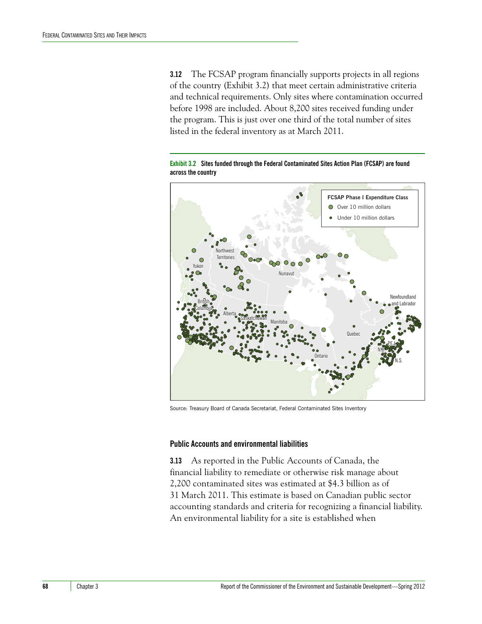**3.12** The FCSAP program financially supports projects in all regions of the country (Exhibit 3.2) that meet certain administrative criteria and technical requirements. Only sites where contamination occurred before 1998 are included. About 8,200 sites received funding under the program. This is just over one third of the total number of sites listed in the federal inventory as at March 2011.

**Exhibit 3.2 Sites funded through the Federal Contaminated Sites Action Plan (FCSAP) are found across the country**



Source: Treasury Board of Canada Secretariat, Federal Contaminated Sites Inventory

### <span id="page-9-0"></span>**Public Accounts and environmental liabilities**

**3.13** As reported in the Public Accounts of Canada, the financial liability to remediate or otherwise risk manage about 2,200 contaminated sites was estimated at \$4.3 billion as of 31 March 2011. This estimate is based on Canadian public sector accounting standards and criteria for recognizing a financial liability. An environmental liability for a site is established when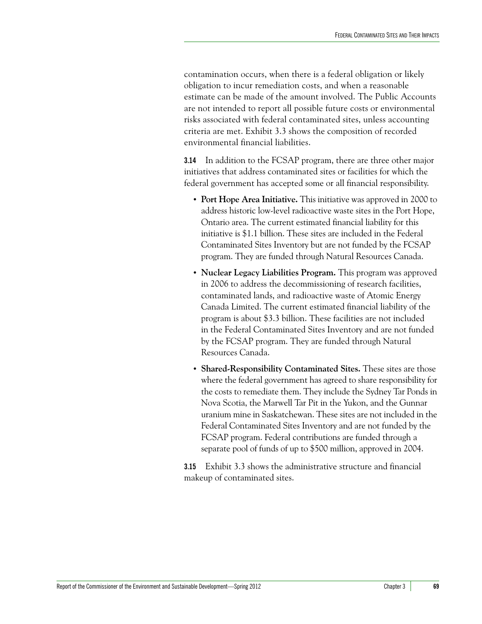contamination occurs, when there is a federal obligation or likely obligation to incur remediation costs, and when a reasonable estimate can be made of the amount involved. The Public Accounts are not intended to report all possible future costs or environmental risks associated with federal contaminated sites, unless accounting criteria are met. Exhibit 3.3 shows the composition of recorded environmental financial liabilities.

**3.14** In addition to the FCSAP program, there are three other major initiatives that address contaminated sites or facilities for which the federal government has accepted some or all financial responsibility.

- **• Port Hope Area Initiative.** This initiative was approved in 2000 to address historic low-level radioactive waste sites in the Port Hope, Ontario area. The current estimated financial liability for this initiative is \$1.1 billion. These sites are included in the Federal Contaminated Sites Inventory but are not funded by the FCSAP program. They are funded through Natural Resources Canada.
- **• Nuclear Legacy Liabilities Program.** This program was approved in 2006 to address the decommissioning of research facilities, contaminated lands, and radioactive waste of Atomic Energy Canada Limited. The current estimated financial liability of the program is about \$3.3 billion. These facilities are not included in the Federal Contaminated Sites Inventory and are not funded by the FCSAP program. They are funded through Natural Resources Canada.
- **• Shared-Responsibility Contaminated Sites.** These sites are those where the federal government has agreed to share responsibility for the costs to remediate them. They include the Sydney Tar Ponds in Nova Scotia, the Marwell Tar Pit in the Yukon, and the Gunnar uranium mine in Saskatchewan. These sites are not included in the Federal Contaminated Sites Inventory and are not funded by the FCSAP program. Federal contributions are funded through a separate pool of funds of up to \$500 million, approved in 2004.

**3.15** Exhibit 3.3 shows the administrative structure and financial makeup of contaminated sites.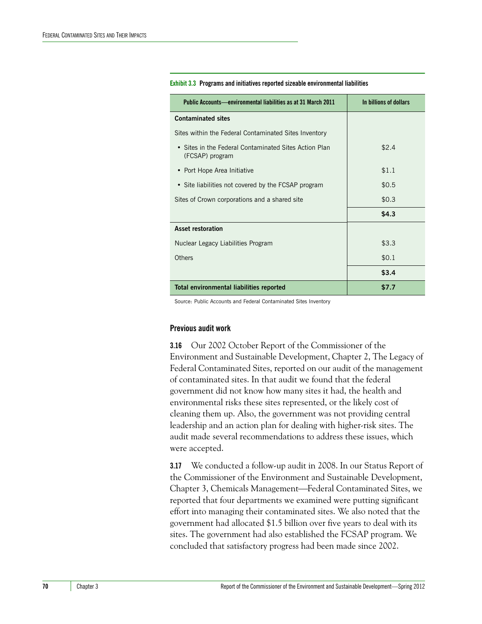| Public Accounts—environmental liabilities as at 31 March 2011            | In billions of dollars |
|--------------------------------------------------------------------------|------------------------|
| <b>Contaminated sites</b>                                                |                        |
| Sites within the Federal Contaminated Sites Inventory                    |                        |
| • Sites in the Federal Contaminated Sites Action Plan<br>(FCSAP) program | \$2.4                  |
| • Port Hope Area Initiative                                              | \$1.1                  |
| • Site liabilities not covered by the FCSAP program                      | \$0.5                  |
| Sites of Crown corporations and a shared site                            | \$0.3                  |
|                                                                          | \$4.3                  |
| Asset restoration                                                        |                        |
| Nuclear Legacy Liabilities Program                                       | \$3.3                  |
| Others                                                                   | \$0.1                  |
|                                                                          | \$3.4                  |
| Total environmental liabilities reported                                 | \$7.7                  |

#### **Exhibit 3.3 Programs and initiatives reported sizeable environmental liabilities**

Source: Public Accounts and Federal Contaminated Sites Inventory

#### <span id="page-11-0"></span>**Previous audit work**

**3.16** Our 2002 October Report of the Commissioner of the Environment and Sustainable Development, Chapter 2, The Legacy of Federal Contaminated Sites, reported on our audit of the management of contaminated sites. In that audit we found that the federal government did not know how many sites it had, the health and environmental risks these sites represented, or the likely cost of cleaning them up. Also, the government was not providing central leadership and an action plan for dealing with higher-risk sites. The audit made several recommendations to address these issues, which were accepted.

**3.17** We conducted a follow-up audit in 2008. In our Status Report of the Commissioner of the Environment and Sustainable Development, Chapter 3, Chemicals Management—Federal Contaminated Sites, we reported that four departments we examined were putting significant effort into managing their contaminated sites. We also noted that the government had allocated \$1.5 billion over five years to deal with its sites. The government had also established the FCSAP program. We concluded that satisfactory progress had been made since 2002.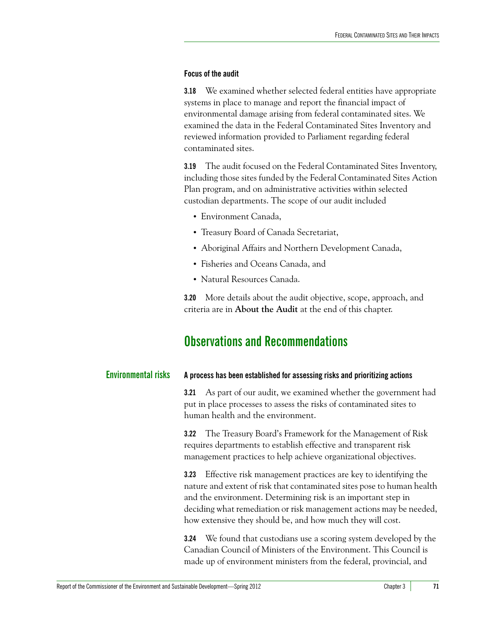# <span id="page-12-0"></span>**Focus of the audit**

**3.18** We examined whether selected federal entities have appropriate systems in place to manage and report the financial impact of environmental damage arising from federal contaminated sites. We examined the data in the Federal Contaminated Sites Inventory and reviewed information provided to Parliament regarding federal contaminated sites.

**3.19** The audit focused on the Federal Contaminated Sites Inventory, including those sites funded by the Federal Contaminated Sites Action Plan program, and on administrative activities within selected custodian departments. The scope of our audit included

- **•** Environment Canada,
- **•** Treasury Board of Canada Secretariat,
- **•** Aboriginal Affairs and Northern Development Canada,
- **•** Fisheries and Oceans Canada, and
- **•** Natural Resources Canada.

**3.20** More details about the audit objective, scope, approach, and criteria are in **About the Audit** at the end of this chapter.

# <span id="page-12-1"></span>**Observations and Recommendations**

<span id="page-12-2"></span>

| <b>Environmental risks</b> | A process has been established for assessing risks and prioritizing actions |
|----------------------------|-----------------------------------------------------------------------------|
|----------------------------|-----------------------------------------------------------------------------|

<span id="page-12-3"></span>**3.21** As part of our audit, we examined whether the government had put in place processes to assess the risks of contaminated sites to human health and the environment.

**3.22** The Treasury Board's Framework for the Management of Risk requires departments to establish effective and transparent risk management practices to help achieve organizational objectives.

**3.23** Effective risk management practices are key to identifying the nature and extent of risk that contaminated sites pose to human health and the environment. Determining risk is an important step in deciding what remediation or risk management actions may be needed, how extensive they should be, and how much they will cost.

**3.24** We found that custodians use a scoring system developed by the Canadian Council of Ministers of the Environment. This Council is made up of environment ministers from the federal, provincial, and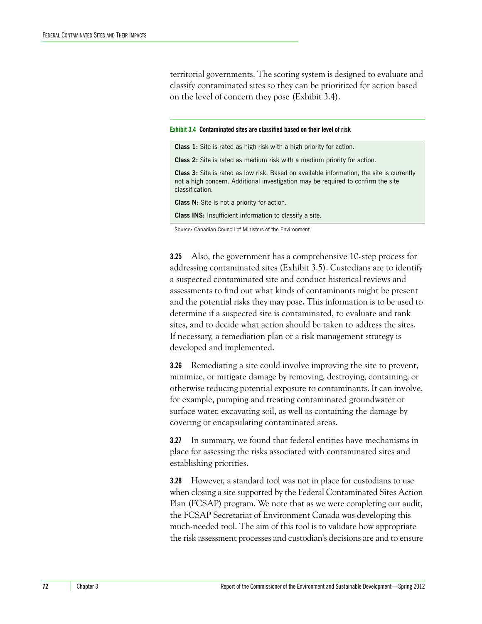territorial governments. The scoring system is designed to evaluate and classify contaminated sites so they can be prioritized for action based on the level of concern they pose (Exhibit 3.4).

**Exhibit 3.4 Contaminated sites are classified based on their level of risk**

| <b>Class 1:</b> Site is rated as high risk with a high priority for action.                                                                                                                             |
|---------------------------------------------------------------------------------------------------------------------------------------------------------------------------------------------------------|
| <b>Class 2:</b> Site is rated as medium risk with a medium priority for action.                                                                                                                         |
| <b>Class 3:</b> Site is rated as low risk. Based on available information, the site is currently<br>not a high concern. Additional investigation may be required to confirm the site<br>classification. |
| <b>Class N:</b> Site is not a priority for action.                                                                                                                                                      |
| <b>Class INS:</b> Insufficient information to classify a site.                                                                                                                                          |
|                                                                                                                                                                                                         |

Source: Canadian Council of Ministers of the Environment

**3.25** Also, the government has a comprehensive 10-step process for addressing contaminated sites (Exhibit 3.5). Custodians are to identify a suspected contaminated site and conduct historical reviews and assessments to find out what kinds of contaminants might be present and the potential risks they may pose. This information is to be used to determine if a suspected site is contaminated, to evaluate and rank sites, and to decide what action should be taken to address the sites. If necessary, a remediation plan or a risk management strategy is developed and implemented.

**3.26** Remediating a site could involve improving the site to prevent, minimize, or mitigate damage by removing, destroying, containing, or otherwise reducing potential exposure to contaminants. It can involve, for example, pumping and treating contaminated groundwater or surface water, excavating soil, as well as containing the damage by covering or encapsulating contaminated areas.

**3.27** In summary, we found that federal entities have mechanisms in place for assessing the risks associated with contaminated sites and establishing priorities.

**3.28** However, a standard tool was not in place for custodians to use when closing a site supported by the Federal Contaminated Sites Action Plan (FCSAP) program. We note that as we were completing our audit, the FCSAP Secretariat of Environment Canada was developing this much-needed tool. The aim of this tool is to validate how appropriate the risk assessment processes and custodian's decisions are and to ensure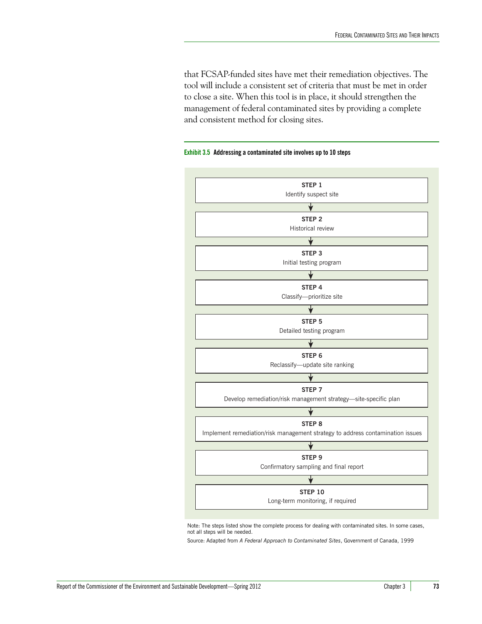that FCSAP-funded sites have met their remediation objectives. The tool will include a consistent set of criteria that must be met in order to close a site. When this tool is in place, it should strengthen the management of federal contaminated sites by providing a complete and consistent method for closing sites.

### **Exhibit 3.5 Addressing a contaminated site involves up to 10 steps**



Note: The steps listed show the complete process for dealing with contaminated sites. In some cases, not all steps will be needed.

Source: Adapted from *A Federal Approach to Contaminated Sites*, Government of Canada, 1999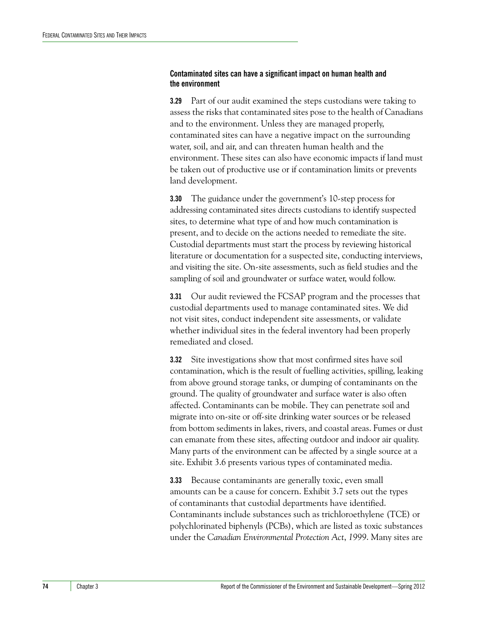# <span id="page-15-0"></span>**Contaminated sites can have a significant impact on human health and the environment**

**3.29** Part of our audit examined the steps custodians were taking to assess the risks that contaminated sites pose to the health of Canadians and to the environment. Unless they are managed properly, contaminated sites can have a negative impact on the surrounding water, soil, and air, and can threaten human health and the environment. These sites can also have economic impacts if land must be taken out of productive use or if contamination limits or prevents land development.

**3.30** The guidance under the government's 10-step process for addressing contaminated sites directs custodians to identify suspected sites, to determine what type of and how much contamination is present, and to decide on the actions needed to remediate the site. Custodial departments must start the process by reviewing historical literature or documentation for a suspected site, conducting interviews, and visiting the site. On-site assessments, such as field studies and the sampling of soil and groundwater or surface water, would follow.

**3.31** Our audit reviewed the FCSAP program and the processes that custodial departments used to manage contaminated sites. We did not visit sites, conduct independent site assessments, or validate whether individual sites in the federal inventory had been properly remediated and closed.

**3.32** Site investigations show that most confirmed sites have soil contamination, which is the result of fuelling activities, spilling, leaking from above ground storage tanks, or dumping of contaminants on the ground. The quality of groundwater and surface water is also often affected. Contaminants can be mobile. They can penetrate soil and migrate into on-site or off-site drinking water sources or be released from bottom sediments in lakes, rivers, and coastal areas. Fumes or dust can emanate from these sites, affecting outdoor and indoor air quality. Many parts of the environment can be affected by a single source at a site. Exhibit 3.6 presents various types of contaminated media.

**3.33** Because contaminants are generally toxic, even small amounts can be a cause for concern. Exhibit 3.7 sets out the types of contaminants that custodial departments have identified. Contaminants include substances such as trichloroethylene (TCE) or polychlorinated biphenyls (PCBs), which are listed as toxic substances under the *Canadian Environmental Protection Act*, *1999*. Many sites are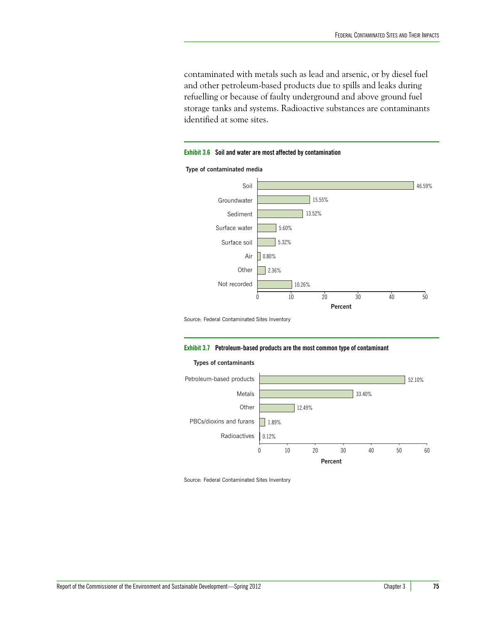contaminated with metals such as lead and arsenic, or by diesel fuel and other petroleum-based products due to spills and leaks during refuelling or because of faulty underground and above ground fuel storage tanks and systems. Radioactive substances are contaminants identified at some sites.

#### **Exhibit 3.6 Soil and water are most affected by contamination**

**Type of contaminated media**



Source: Federal Contaminated Sites Inventory

#### **Exhibit 3.7 Petroleum-based products are the most common type of contaminant**



Source: Federal Contaminated Sites Inventory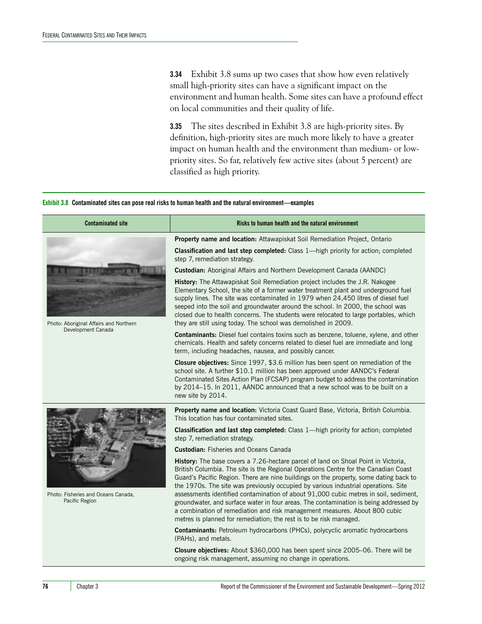**3.34** Exhibit 3.8 sums up two cases that show how even relatively small high-priority sites can have a significant impact on the environment and human health. Some sites can have a profound effect on local communities and their quality of life.

**3.35** The sites described in Exhibit 3.8 are high-priority sites. By definition, high-priority sites are much more likely to have a greater impact on human health and the environment than medium- or lowpriority sites. So far, relatively few active sites (about 5 percent) are classified as high priority.

#### **Exhibit 3.8 Contaminated sites can pose real risks to human health and the natural environment—examples**

| <b>Contaminated site</b>                                     | Risks to human health and the natural environment                                                                                                                                                                                                                                                                                                                                                                                                                                                                                                                                                                                                                                             |
|--------------------------------------------------------------|-----------------------------------------------------------------------------------------------------------------------------------------------------------------------------------------------------------------------------------------------------------------------------------------------------------------------------------------------------------------------------------------------------------------------------------------------------------------------------------------------------------------------------------------------------------------------------------------------------------------------------------------------------------------------------------------------|
|                                                              | Property name and location: Attawapiskat Soil Remediation Project, Ontario                                                                                                                                                                                                                                                                                                                                                                                                                                                                                                                                                                                                                    |
|                                                              | <b>Classification and last step completed:</b> Class 1—high priority for action; completed<br>step 7, remediation strategy.                                                                                                                                                                                                                                                                                                                                                                                                                                                                                                                                                                   |
|                                                              | Custodian: Aboriginal Affairs and Northern Development Canada (AANDC)                                                                                                                                                                                                                                                                                                                                                                                                                                                                                                                                                                                                                         |
| Photo: Aboriginal Affairs and Northern<br>Development Canada | History: The Attawapiskat Soil Remediation project includes the J.R. Nakogee<br>Elementary School, the site of a former water treatment plant and underground fuel<br>supply lines. The site was contaminated in 1979 when 24,450 litres of diesel fuel<br>seeped into the soil and groundwater around the school. In 2000, the school was<br>closed due to health concerns. The students were relocated to large portables, which<br>they are still using today. The school was demolished in 2009.                                                                                                                                                                                          |
|                                                              | <b>Contaminants:</b> Diesel fuel contains toxins such as benzene, toluene, xylene, and other<br>chemicals. Health and safety concerns related to diesel fuel are immediate and long<br>term, including headaches, nausea, and possibly cancer.                                                                                                                                                                                                                                                                                                                                                                                                                                                |
|                                                              | Closure objectives: Since 1997, \$3.6 million has been spent on remediation of the<br>school site. A further \$10.1 million has been approved under AANDC's Federal<br>Contaminated Sites Action Plan (FCSAP) program budget to address the contamination<br>by 2014–15. In 2011, AANDC announced that a new school was to be built on a<br>new site by 2014.                                                                                                                                                                                                                                                                                                                                 |
|                                                              | Property name and location: Victoria Coast Guard Base, Victoria, British Columbia.<br>This location has four contaminated sites.                                                                                                                                                                                                                                                                                                                                                                                                                                                                                                                                                              |
|                                                              | <b>Classification and last step completed:</b> Class 1—high priority for action; completed<br>step 7, remediation strategy.                                                                                                                                                                                                                                                                                                                                                                                                                                                                                                                                                                   |
|                                                              | <b>Custodian: Fisheries and Oceans Canada</b>                                                                                                                                                                                                                                                                                                                                                                                                                                                                                                                                                                                                                                                 |
| Photo: Fisheries and Oceans Canada,<br>Pacific Region        | History: The base covers a 7.26-hectare parcel of land on Shoal Point in Victoria,<br>British Columbia. The site is the Regional Operations Centre for the Canadian Coast<br>Guard's Pacific Region. There are nine buildings on the property, some dating back to<br>the 1970s. The site was previously occupied by various industrial operations. Site<br>assessments identified contamination of about 91,000 cubic metres in soil, sediment,<br>groundwater, and surface water in four areas. The contamination is being addressed by<br>a combination of remediation and risk management measures. About 800 cubic<br>metres is planned for remediation; the rest is to be risk managed. |
|                                                              | <b>Contaminants:</b> Petroleum hydrocarbons (PHCs), polycyclic aromatic hydrocarbons<br>(PAHs), and metals.                                                                                                                                                                                                                                                                                                                                                                                                                                                                                                                                                                                   |
|                                                              | Closure objectives: About \$360,000 has been spent since 2005-06. There will be<br>ongoing risk management, assuming no change in operations.                                                                                                                                                                                                                                                                                                                                                                                                                                                                                                                                                 |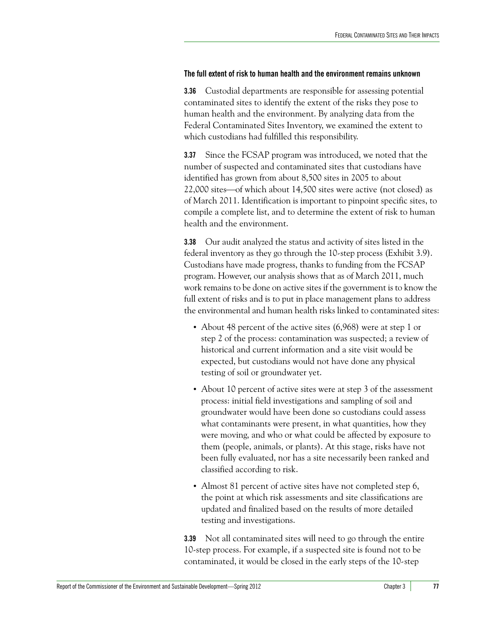# <span id="page-18-0"></span>**The full extent of risk to human health and the environment remains unknown**

**3.36** Custodial departments are responsible for assessing potential contaminated sites to identify the extent of the risks they pose to human health and the environment. By analyzing data from the Federal Contaminated Sites Inventory, we examined the extent to which custodians had fulfilled this responsibility.

**3.37** Since the FCSAP program was introduced, we noted that the number of suspected and contaminated sites that custodians have identified has grown from about 8,500 sites in 2005 to about  $22,000$  sites—of which about  $14,500$  sites were active (not closed) as of March 2011. Identification is important to pinpoint specific sites, to compile a complete list, and to determine the extent of risk to human health and the environment.

**3.38** Our audit analyzed the status and activity of sites listed in the federal inventory as they go through the 10-step process (Exhibit 3.9). Custodians have made progress, thanks to funding from the FCSAP program. However, our analysis shows that as of March 2011, much work remains to be done on active sites if the government is to know the full extent of risks and is to put in place management plans to address the environmental and human health risks linked to contaminated sites:

- **•** About 48 percent of the active sites (6,968) were at step 1 or step 2 of the process: contamination was suspected; a review of historical and current information and a site visit would be expected, but custodians would not have done any physical testing of soil or groundwater yet.
- **•** About 10 percent of active sites were at step 3 of the assessment process: initial field investigations and sampling of soil and groundwater would have been done so custodians could assess what contaminants were present, in what quantities, how they were moving, and who or what could be affected by exposure to them (people, animals, or plants). At this stage, risks have not been fully evaluated, nor has a site necessarily been ranked and classified according to risk.
- **•** Almost 81 percent of active sites have not completed step 6, the point at which risk assessments and site classifications are updated and finalized based on the results of more detailed testing and investigations.

**3.39** Not all contaminated sites will need to go through the entire 10-step process. For example, if a suspected site is found not to be contaminated, it would be closed in the early steps of the 10-step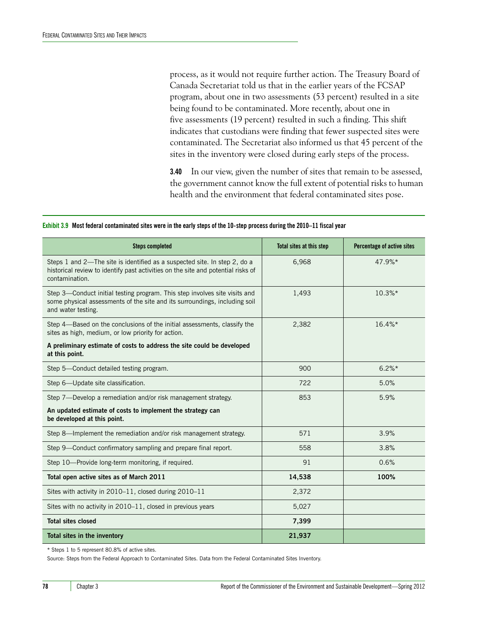process, as it would not require further action. The Treasury Board of Canada Secretariat told us that in the earlier years of the FCSAP program, about one in two assessments (53 percent) resulted in a site being found to be contaminated. More recently, about one in five assessments (19 percent) resulted in such a finding. This shift indicates that custodians were finding that fewer suspected sites were contaminated. The Secretariat also informed us that 45 percent of the sites in the inventory were closed during early steps of the process.

**3.40** In our view, given the number of sites that remain to be assessed, the government cannot know the full extent of potential risks to human health and the environment that federal contaminated sites pose.

| <b>Steps completed</b>                                                                                                                                                          | Total sites at this step | Percentage of active sites |
|---------------------------------------------------------------------------------------------------------------------------------------------------------------------------------|--------------------------|----------------------------|
| Steps 1 and 2-The site is identified as a suspected site. In step 2, do a<br>historical review to identify past activities on the site and potential risks of<br>contamination. | 6,968                    | 47.9%*                     |
| Step 3—Conduct initial testing program. This step involves site visits and<br>some physical assessments of the site and its surroundings, including soil<br>and water testing.  | 1,493                    | $10.3\%*$                  |
| Step 4—Based on the conclusions of the initial assessments, classify the<br>sites as high, medium, or low priority for action.                                                  | 2,382                    | $16.4\%*$                  |
| A preliminary estimate of costs to address the site could be developed<br>at this point.                                                                                        |                          |                            |
| Step 5-Conduct detailed testing program.                                                                                                                                        | 900                      | $6.2\%*$                   |
| Step 6-Update site classification.                                                                                                                                              | 722                      | 5.0%                       |
| Step 7-Develop a remediation and/or risk management strategy.                                                                                                                   | 853                      | 5.9%                       |
| An updated estimate of costs to implement the strategy can<br>be developed at this point.                                                                                       |                          |                            |
| Step 8-Implement the remediation and/or risk management strategy.                                                                                                               | 571                      | 3.9%                       |
| Step 9-Conduct confirmatory sampling and prepare final report.                                                                                                                  | 558                      | 3.8%                       |
| Step 10-Provide long-term monitoring, if required.                                                                                                                              | 91                       | 0.6%                       |
| Total open active sites as of March 2011                                                                                                                                        | 14,538                   | 100%                       |
| Sites with activity in 2010–11, closed during 2010–11                                                                                                                           | 2,372                    |                            |
| Sites with no activity in 2010-11, closed in previous years                                                                                                                     | 5,027                    |                            |
| <b>Total sites closed</b>                                                                                                                                                       | 7,399                    |                            |
| Total sites in the inventory                                                                                                                                                    | 21,937                   |                            |

#### **Exhibit 3.9 Most federal contaminated sites were in the early steps of the 10-step process during the 2010–11 fiscal year**

\* Steps 1 to 5 represent 80.8% of active sites.

Source: Steps from the Federal Approach to Contaminated Sites. Data from the Federal Contaminated Sites Inventory.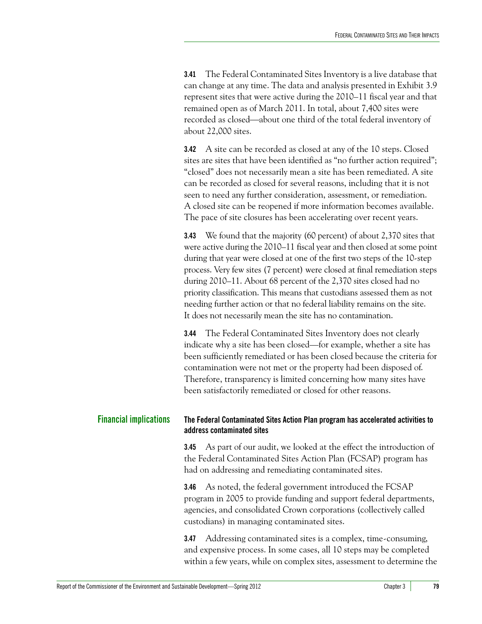**3.41** The Federal Contaminated Sites Inventory is a live database that can change at any time. The data and analysis presented in Exhibit 3.9 represent sites that were active during the 2010–11 fiscal year and that remained open as of March 2011. In total, about 7,400 sites were recorded as closed—about one third of the total federal inventory of about 22,000 sites.

**3.42** A site can be recorded as closed at any of the 10 steps. Closed sites are sites that have been identified as "no further action required"; "closed" does not necessarily mean a site has been remediated. A site can be recorded as closed for several reasons, including that it is not seen to need any further consideration, assessment, or remediation. A closed site can be reopened if more information becomes available. The pace of site closures has been accelerating over recent years.

**3.43** We found that the majority (60 percent) of about 2,370 sites that were active during the 2010–11 fiscal year and then closed at some point during that year were closed at one of the first two steps of the 10-step process. Very few sites (7 percent) were closed at final remediation steps during 2010–11. About 68 percent of the 2,370 sites closed had no priority classification. This means that custodians assessed them as not needing further action or that no federal liability remains on the site. It does not necessarily mean the site has no contamination.

**3.44** The Federal Contaminated Sites Inventory does not clearly indicate why a site has been closed—for example, whether a site has been sufficiently remediated or has been closed because the criteria for contamination were not met or the property had been disposed of. Therefore, transparency is limited concerning how many sites have been satisfactorily remediated or closed for other reasons.

# <span id="page-20-0"></span>**Financial implications The Federal Contaminated Sites Action Plan program has accelerated activities to address contaminated sites**

<span id="page-20-1"></span>**3.45** As part of our audit, we looked at the effect the introduction of the Federal Contaminated Sites Action Plan (FCSAP) program has had on addressing and remediating contaminated sites.

**3.46** As noted, the federal government introduced the FCSAP program in 2005 to provide funding and support federal departments, agencies, and consolidated Crown corporations (collectively called custodians) in managing contaminated sites.

**3.47** Addressing contaminated sites is a complex, time-consuming, and expensive process. In some cases, all 10 steps may be completed within a few years, while on complex sites, assessment to determine the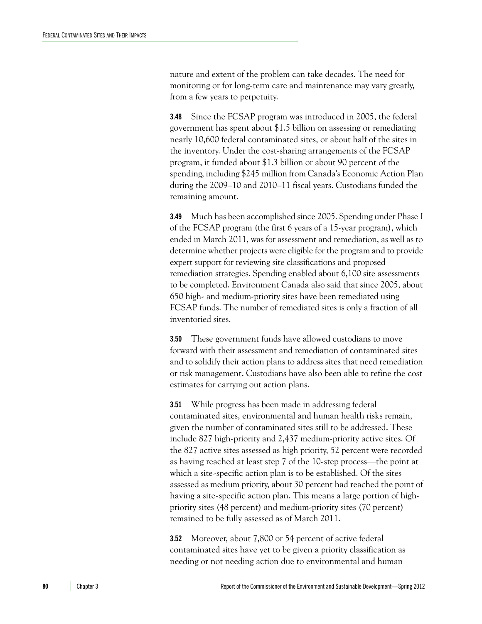nature and extent of the problem can take decades. The need for monitoring or for long-term care and maintenance may vary greatly, from a few years to perpetuity.

**3.48** Since the FCSAP program was introduced in 2005, the federal government has spent about \$1.5 billion on assessing or remediating nearly 10,600 federal contaminated sites, or about half of the sites in the inventory. Under the cost-sharing arrangements of the FCSAP program, it funded about \$1.3 billion or about 90 percent of the spending, including \$245 million from Canada's Economic Action Plan during the 2009–10 and 2010–11 fiscal years. Custodians funded the remaining amount.

**3.49** Much has been accomplished since 2005. Spending under Phase I of the FCSAP program (the first 6 years of a 15-year program), which ended in March 2011, was for assessment and remediation, as well as to determine whether projects were eligible for the program and to provide expert support for reviewing site classifications and proposed remediation strategies. Spending enabled about 6,100 site assessments to be completed. Environment Canada also said that since 2005, about 650 high- and medium-priority sites have been remediated using FCSAP funds. The number of remediated sites is only a fraction of all inventoried sites.

**3.50** These government funds have allowed custodians to move forward with their assessment and remediation of contaminated sites and to solidify their action plans to address sites that need remediation or risk management. Custodians have also been able to refine the cost estimates for carrying out action plans.

**3.51** While progress has been made in addressing federal contaminated sites, environmental and human health risks remain, given the number of contaminated sites still to be addressed. These include 827 high-priority and 2,437 medium-priority active sites. Of the 827 active sites assessed as high priority, 52 percent were recorded as having reached at least step  $7$  of the 10-step process—the point at which a site-specific action plan is to be established. Of the sites assessed as medium priority, about 30 percent had reached the point of having a site-specific action plan. This means a large portion of highpriority sites (48 percent) and medium-priority sites (70 percent) remained to be fully assessed as of March 2011.

**3.52** Moreover, about 7,800 or 54 percent of active federal contaminated sites have yet to be given a priority classification as needing or not needing action due to environmental and human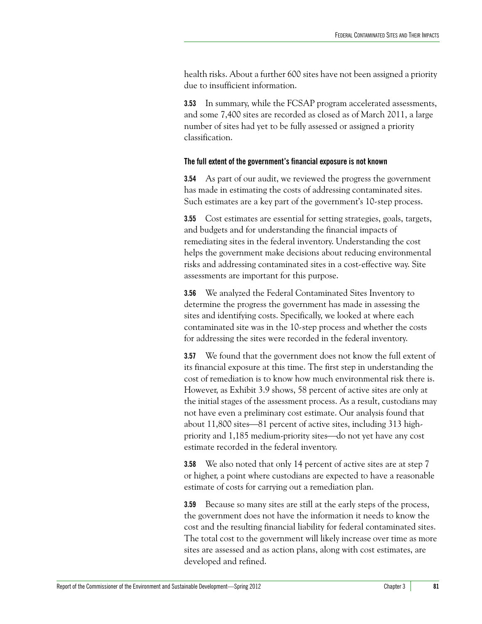health risks. About a further 600 sites have not been assigned a priority due to insufficient information.

**3.53** In summary, while the FCSAP program accelerated assessments, and some 7,400 sites are recorded as closed as of March 2011, a large number of sites had yet to be fully assessed or assigned a priority classification.

# <span id="page-22-0"></span>**The full extent of the government's financial exposure is not known**

**3.54** As part of our audit, we reviewed the progress the government has made in estimating the costs of addressing contaminated sites. Such estimates are a key part of the government's 10-step process.

**3.55** Cost estimates are essential for setting strategies, goals, targets, and budgets and for understanding the financial impacts of remediating sites in the federal inventory. Understanding the cost helps the government make decisions about reducing environmental risks and addressing contaminated sites in a cost-effective way. Site assessments are important for this purpose.

**3.56** We analyzed the Federal Contaminated Sites Inventory to determine the progress the government has made in assessing the sites and identifying costs. Specifically, we looked at where each contaminated site was in the 10-step process and whether the costs for addressing the sites were recorded in the federal inventory.

**3.57** We found that the government does not know the full extent of its financial exposure at this time. The first step in understanding the cost of remediation is to know how much environmental risk there is. However, as Exhibit 3.9 shows, 58 percent of active sites are only at the initial stages of the assessment process. As a result, custodians may not have even a preliminary cost estimate. Our analysis found that about  $11,800$  sites—81 percent of active sites, including 313 highpriority and 1,185 medium-priority sites—do not yet have any cost estimate recorded in the federal inventory.

**3.58** We also noted that only 14 percent of active sites are at step 7 or higher, a point where custodians are expected to have a reasonable estimate of costs for carrying out a remediation plan.

**3.59** Because so many sites are still at the early steps of the process, the government does not have the information it needs to know the cost and the resulting financial liability for federal contaminated sites. The total cost to the government will likely increase over time as more sites are assessed and as action plans, along with cost estimates, are developed and refined.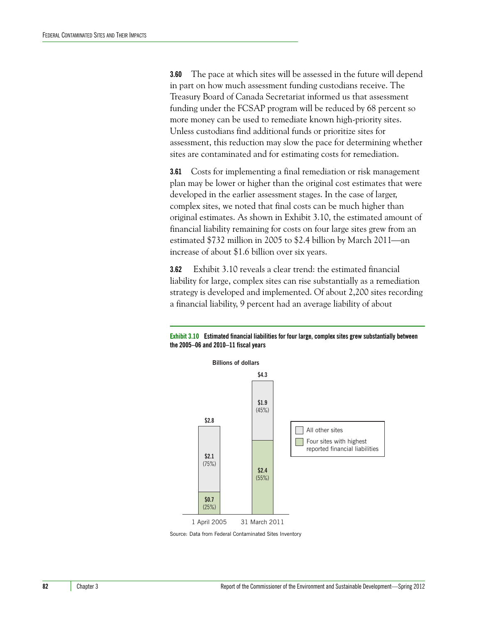**3.60** The pace at which sites will be assessed in the future will depend in part on how much assessment funding custodians receive. The Treasury Board of Canada Secretariat informed us that assessment funding under the FCSAP program will be reduced by 68 percent so more money can be used to remediate known high-priority sites. Unless custodians find additional funds or prioritize sites for assessment, this reduction may slow the pace for determining whether sites are contaminated and for estimating costs for remediation.

**3.61** Costs for implementing a final remediation or risk management plan may be lower or higher than the original cost estimates that were developed in the earlier assessment stages. In the case of larger, complex sites, we noted that final costs can be much higher than original estimates. As shown in Exhibit 3.10, the estimated amount of financial liability remaining for costs on four large sites grew from an estimated  $$732$  million in 2005 to  $$2.4$  billion by March 2011—an increase of about \$1.6 billion over six years.

**3.62** Exhibit 3.10 reveals a clear trend: the estimated financial liability for large, complex sites can rise substantially as a remediation strategy is developed and implemented. Of about 2,200 sites recording a financial liability, 9 percent had an average liability of about



#### **Exhibit 3.10 Estimated financial liabilities for four large, complex sites grew substantially between the 2005–06 and 2010–11 fiscal years**

Source: Data from Federal Contaminated Sites Inventory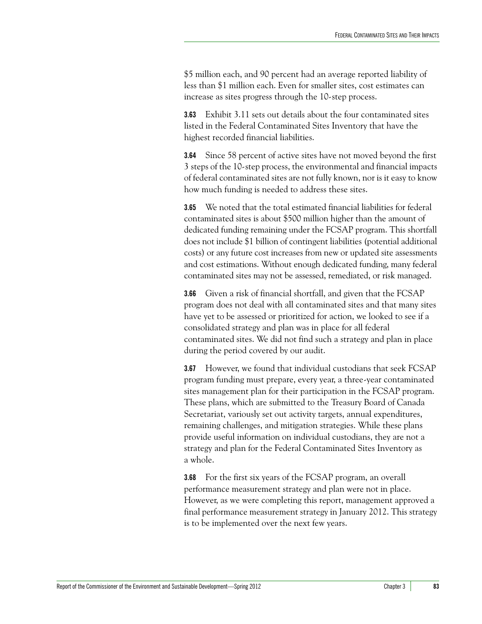\$5 million each, and 90 percent had an average reported liability of less than \$1 million each. Even for smaller sites, cost estimates can increase as sites progress through the 10-step process.

**3.63** Exhibit 3.11 sets out details about the four contaminated sites listed in the Federal Contaminated Sites Inventory that have the highest recorded financial liabilities.

**3.64** Since 58 percent of active sites have not moved beyond the first 3 steps of the 10-step process, the environmental and financial impacts of federal contaminated sites are not fully known, nor is it easy to know how much funding is needed to address these sites.

**3.65** We noted that the total estimated financial liabilities for federal contaminated sites is about \$500 million higher than the amount of dedicated funding remaining under the FCSAP program. This shortfall does not include \$1 billion of contingent liabilities (potential additional costs) or any future cost increases from new or updated site assessments and cost estimations. Without enough dedicated funding, many federal contaminated sites may not be assessed, remediated, or risk managed.

**3.66** Given a risk of financial shortfall, and given that the FCSAP program does not deal with all contaminated sites and that many sites have yet to be assessed or prioritized for action, we looked to see if a consolidated strategy and plan was in place for all federal contaminated sites. We did not find such a strategy and plan in place during the period covered by our audit.

**3.67** However, we found that individual custodians that seek FCSAP program funding must prepare, every year, a three-year contaminated sites management plan for their participation in the FCSAP program. These plans, which are submitted to the Treasury Board of Canada Secretariat, variously set out activity targets, annual expenditures, remaining challenges, and mitigation strategies. While these plans provide useful information on individual custodians, they are not a strategy and plan for the Federal Contaminated Sites Inventory as a whole.

**3.68** For the first six years of the FCSAP program, an overall performance measurement strategy and plan were not in place. However, as we were completing this report, management approved a final performance measurement strategy in January 2012. This strategy is to be implemented over the next few years.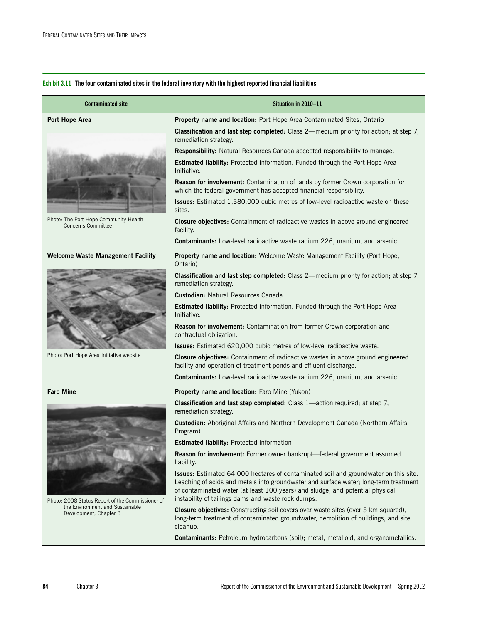#### **Exhibit 3.11 The four contaminated sites in the federal inventory with the highest reported financial liabilities**

| <b>Contaminated site</b>                                           | Situation in 2010-11                                                                                                                                                                                                                                                                                                |
|--------------------------------------------------------------------|---------------------------------------------------------------------------------------------------------------------------------------------------------------------------------------------------------------------------------------------------------------------------------------------------------------------|
| Port Hope Area                                                     | Property name and location: Port Hope Area Contaminated Sites, Ontario                                                                                                                                                                                                                                              |
|                                                                    | Classification and last step completed: Class 2-medium priority for action; at step 7,<br>remediation strategy.                                                                                                                                                                                                     |
|                                                                    | Responsibility: Natural Resources Canada accepted responsibility to manage.                                                                                                                                                                                                                                         |
|                                                                    | Estimated liability: Protected information. Funded through the Port Hope Area<br>Initiative.                                                                                                                                                                                                                        |
|                                                                    | Reason for involvement: Contamination of lands by former Crown corporation for<br>which the federal government has accepted financial responsibility.                                                                                                                                                               |
|                                                                    | Issues: Estimated 1,380,000 cubic metres of low-level radioactive waste on these<br>sites.                                                                                                                                                                                                                          |
| Photo: The Port Hope Community Health<br><b>Concerns Committee</b> | <b>Closure objectives:</b> Containment of radioactive wastes in above ground engineered<br>facility.                                                                                                                                                                                                                |
|                                                                    | Contaminants: Low-level radioactive waste radium 226, uranium, and arsenic.                                                                                                                                                                                                                                         |
| <b>Welcome Waste Management Facility</b>                           | Property name and location: Welcome Waste Management Facility (Port Hope,<br>Ontario)                                                                                                                                                                                                                               |
|                                                                    | Classification and last step completed: Class 2-medium priority for action; at step 7,<br>remediation strategy.                                                                                                                                                                                                     |
|                                                                    | <b>Custodian: Natural Resources Canada</b>                                                                                                                                                                                                                                                                          |
|                                                                    | Estimated liability: Protected information. Funded through the Port Hope Area<br>Initiative.                                                                                                                                                                                                                        |
|                                                                    | Reason for involvement: Contamination from former Crown corporation and<br>contractual obligation.                                                                                                                                                                                                                  |
|                                                                    | <b>Issues:</b> Estimated 620,000 cubic metres of low-level radioactive waste.                                                                                                                                                                                                                                       |
| Photo: Port Hope Area Initiative website                           | <b>Closure objectives:</b> Containment of radioactive wastes in above ground engineered<br>facility and operation of treatment ponds and effluent discharge.                                                                                                                                                        |
|                                                                    | Contaminants: Low-level radioactive waste radium 226, uranium, and arsenic.                                                                                                                                                                                                                                         |
| <b>Faro Mine</b>                                                   | Property name and location: Faro Mine (Yukon)                                                                                                                                                                                                                                                                       |
|                                                                    | Classification and last step completed: Class 1-action required; at step 7,<br>remediation strategy.                                                                                                                                                                                                                |
|                                                                    | Custodian: Aboriginal Affairs and Northern Development Canada (Northern Affairs<br>Program)                                                                                                                                                                                                                         |
|                                                                    | <b>Estimated liability: Protected information</b>                                                                                                                                                                                                                                                                   |
| Photo: 2008 Status Report of the Commissioner of                   | Reason for involvement: Former owner bankrupt-federal government assumed<br>liability.                                                                                                                                                                                                                              |
|                                                                    | Issues: Estimated 64,000 hectares of contaminated soil and groundwater on this site.<br>Leaching of acids and metals into groundwater and surface water; long-term treatment<br>of contaminated water (at least 100 years) and sludge, and potential physical<br>instability of tailings dams and waste rock dumps. |
| the Environment and Sustainable<br>Development, Chapter 3          | Closure objectives: Constructing soil covers over waste sites (over 5 km squared),<br>long-term treatment of contaminated groundwater, demolition of buildings, and site<br>cleanup.                                                                                                                                |
|                                                                    | Contaminants: Petroleum hydrocarbons (soil); metal, metalloid, and organometallics.                                                                                                                                                                                                                                 |
|                                                                    |                                                                                                                                                                                                                                                                                                                     |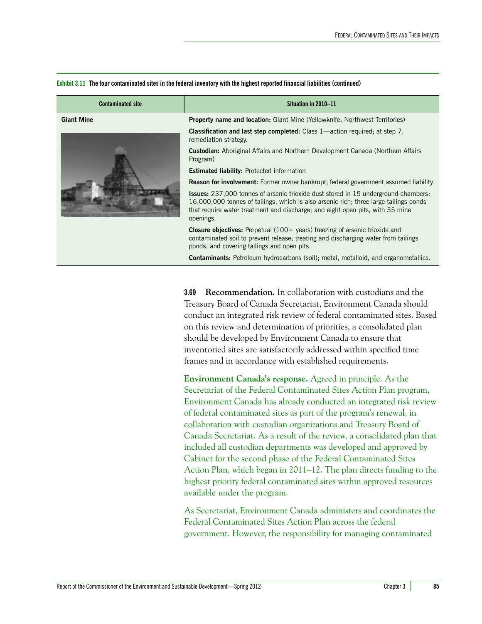| <b>Contaminated site</b> | Situation in 2010-11                                                                                                                                                                                                                                                             |
|--------------------------|----------------------------------------------------------------------------------------------------------------------------------------------------------------------------------------------------------------------------------------------------------------------------------|
| <b>Giant Mine</b>        | <b>Property name and location:</b> Giant Mine (Yellowknife, Northwest Territories)                                                                                                                                                                                               |
|                          | <b>Classification and last step completed:</b> Class 1—action required; at step 7,<br>remediation strategy.                                                                                                                                                                      |
|                          | <b>Custodian:</b> Aboriginal Affairs and Northern Development Canada (Northern Affairs<br>Program)                                                                                                                                                                               |
|                          | <b>Estimated liability:</b> Protected information                                                                                                                                                                                                                                |
|                          | <b>Reason for involvement:</b> Former owner bankrupt; federal government assumed liability.                                                                                                                                                                                      |
|                          | <b>Issues:</b> 237,000 tonnes of arsenic trioxide dust stored in 15 underground chambers;<br>16,000,000 tonnes of tailings, which is also arsenic rich; three large tailings ponds<br>that require water treatment and discharge; and eight open pits, with 35 mine<br>openings. |
|                          | <b>Closure objectives:</b> Perpetual $(100 + \text{years})$ freezing of arsenic trioxide and<br>contaminated soil to prevent release; treating and discharging water from tailings<br>ponds; and covering tailings and open pits.                                                |
|                          | <b>Contaminants:</b> Petroleum hydrocarbons (soil); metal, metalloid, and organometallics.                                                                                                                                                                                       |

**Exhibit 3.11 The four contaminated sites in the federal inventory with the highest reported financial liabilities (continued)**

**3.69 Recommendation.** In collaboration with custodians and the Treasury Board of Canada Secretariat, Environment Canada should conduct an integrated risk review of federal contaminated sites. Based on this review and determination of priorities, a consolidated plan should be developed by Environment Canada to ensure that inventoried sites are satisfactorily addressed within specified time frames and in accordance with established requirements.

**Environment Canada's response.** Agreed in principle. As the Secretariat of the Federal Contaminated Sites Action Plan program, Environment Canada has already conducted an integrated risk review of federal contaminated sites as part of the program's renewal, in collaboration with custodian organizations and Treasury Board of Canada Secretariat. As a result of the review, a consolidated plan that included all custodian departments was developed and approved by Cabinet for the second phase of the Federal Contaminated Sites Action Plan, which began in 2011–12. The plan directs funding to the highest priority federal contaminated sites within approved resources available under the program.

As Secretariat, Environment Canada administers and coordinates the Federal Contaminated Sites Action Plan across the federal government. However, the responsibility for managing contaminated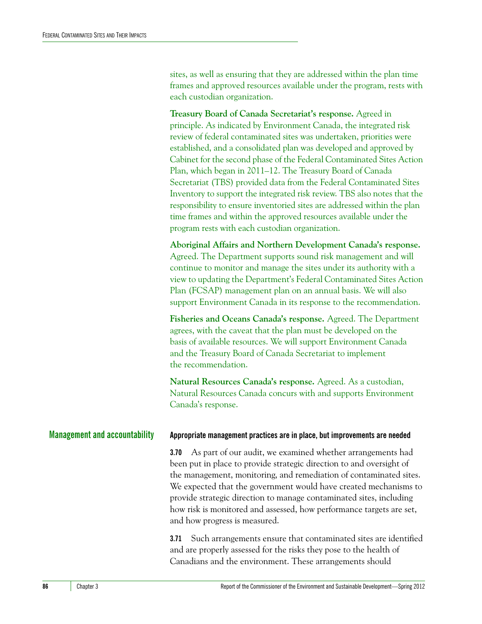sites, as well as ensuring that they are addressed within the plan time frames and approved resources available under the program, rests with each custodian organization.

**Treasury Board of Canada Secretariat's response.** Agreed in principle. As indicated by Environment Canada, the integrated risk review of federal contaminated sites was undertaken, priorities were established, and a consolidated plan was developed and approved by Cabinet for the second phase of the Federal Contaminated Sites Action Plan, which began in 2011–12. The Treasury Board of Canada Secretariat (TBS) provided data from the Federal Contaminated Sites Inventory to support the integrated risk review. TBS also notes that the responsibility to ensure inventoried sites are addressed within the plan time frames and within the approved resources available under the program rests with each custodian organization.

**Aboriginal Affairs and Northern Development Canada's response.**  Agreed. The Department supports sound risk management and will continue to monitor and manage the sites under its authority with a view to updating the Department's Federal Contaminated Sites Action Plan (FCSAP) management plan on an annual basis. We will also support Environment Canada in its response to the recommendation.

**Fisheries and Oceans Canada's response.** Agreed. The Department agrees, with the caveat that the plan must be developed on the basis of available resources. We will support Environment Canada and the Treasury Board of Canada Secretariat to implement the recommendation.

**Natural Resources Canada's response.** Agreed. As a custodian, Natural Resources Canada concurs with and supports Environment Canada's response.

## <span id="page-27-0"></span>**Management and accountability Appropriate management practices are in place, but improvements are needed**

<span id="page-27-1"></span>**3.70** As part of our audit, we examined whether arrangements had been put in place to provide strategic direction to and oversight of the management, monitoring, and remediation of contaminated sites. We expected that the government would have created mechanisms to provide strategic direction to manage contaminated sites, including how risk is monitored and assessed, how performance targets are set, and how progress is measured.

**3.71** Such arrangements ensure that contaminated sites are identified and are properly assessed for the risks they pose to the health of Canadians and the environment. These arrangements should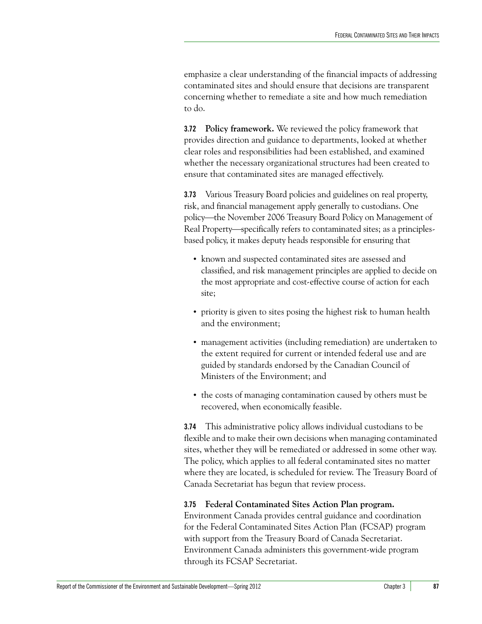emphasize a clear understanding of the financial impacts of addressing contaminated sites and should ensure that decisions are transparent concerning whether to remediate a site and how much remediation to do.

**3.72 Policy framework.** We reviewed the policy framework that provides direction and guidance to departments, looked at whether clear roles and responsibilities had been established, and examined whether the necessary organizational structures had been created to ensure that contaminated sites are managed effectively.

**3.73** Various Treasury Board policies and guidelines on real property, risk, and financial management apply generally to custodians. One policy—the November 2006 Treasury Board Policy on Management of Real Property—specifically refers to contaminated sites; as a principlesbased policy, it makes deputy heads responsible for ensuring that

- **•** known and suspected contaminated sites are assessed and classified, and risk management principles are applied to decide on the most appropriate and cost-effective course of action for each site;
- **•** priority is given to sites posing the highest risk to human health and the environment;
- **•** management activities (including remediation) are undertaken to the extent required for current or intended federal use and are guided by standards endorsed by the Canadian Council of Ministers of the Environment; and
- **•** the costs of managing contamination caused by others must be recovered, when economically feasible.

**3.74** This administrative policy allows individual custodians to be flexible and to make their own decisions when managing contaminated sites, whether they will be remediated or addressed in some other way. The policy, which applies to all federal contaminated sites no matter where they are located, is scheduled for review. The Treasury Board of Canada Secretariat has begun that review process.

# **3.75 Federal Contaminated Sites Action Plan program.**

Environment Canada provides central guidance and coordination for the Federal Contaminated Sites Action Plan (FCSAP) program with support from the Treasury Board of Canada Secretariat. Environment Canada administers this government-wide program through its FCSAP Secretariat.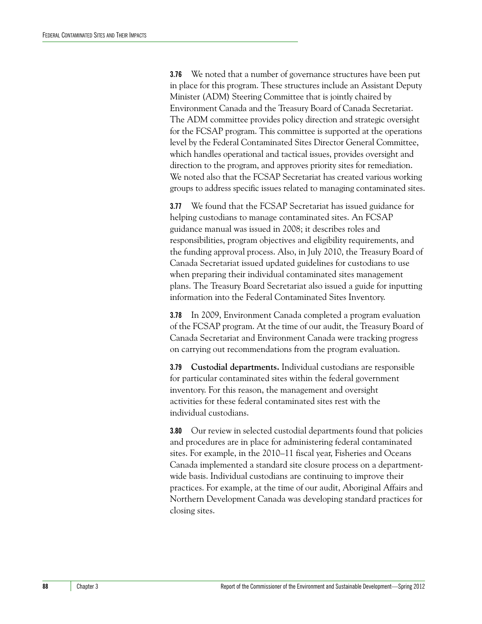**3.76** We noted that a number of governance structures have been put in place for this program. These structures include an Assistant Deputy Minister (ADM) Steering Committee that is jointly chaired by Environment Canada and the Treasury Board of Canada Secretariat. The ADM committee provides policy direction and strategic oversight for the FCSAP program. This committee is supported at the operations level by the Federal Contaminated Sites Director General Committee, which handles operational and tactical issues, provides oversight and direction to the program, and approves priority sites for remediation. We noted also that the FCSAP Secretariat has created various working groups to address specific issues related to managing contaminated sites.

**3.77** We found that the FCSAP Secretariat has issued guidance for helping custodians to manage contaminated sites. An FCSAP guidance manual was issued in 2008; it describes roles and responsibilities, program objectives and eligibility requirements, and the funding approval process. Also, in July 2010, the Treasury Board of Canada Secretariat issued updated guidelines for custodians to use when preparing their individual contaminated sites management plans. The Treasury Board Secretariat also issued a guide for inputting information into the Federal Contaminated Sites Inventory.

**3.78** In 2009, Environment Canada completed a program evaluation of the FCSAP program. At the time of our audit, the Treasury Board of Canada Secretariat and Environment Canada were tracking progress on carrying out recommendations from the program evaluation.

**3.79 Custodial departments.** Individual custodians are responsible for particular contaminated sites within the federal government inventory. For this reason, the management and oversight activities for these federal contaminated sites rest with the individual custodians.

**3.80** Our review in selected custodial departments found that policies and procedures are in place for administering federal contaminated sites. For example, in the 2010–11 fiscal year, Fisheries and Oceans Canada implemented a standard site closure process on a departmentwide basis. Individual custodians are continuing to improve their practices. For example, at the time of our audit, Aboriginal Affairs and Northern Development Canada was developing standard practices for closing sites.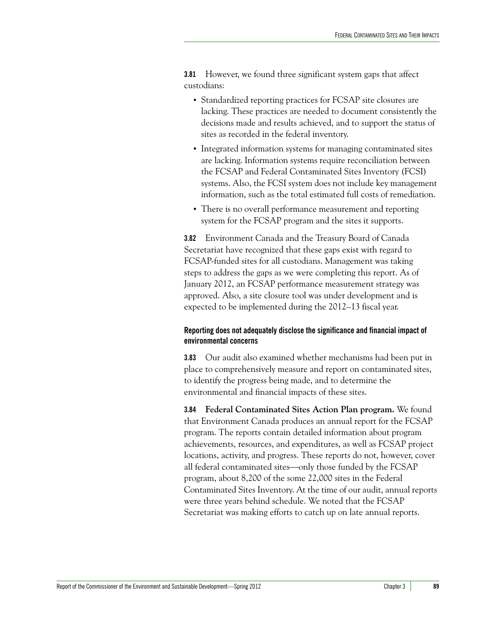**3.81** However, we found three significant system gaps that affect custodians:

- **•** Standardized reporting practices for FCSAP site closures are lacking. These practices are needed to document consistently the decisions made and results achieved, and to support the status of sites as recorded in the federal inventory.
- **•** Integrated information systems for managing contaminated sites are lacking. Information systems require reconciliation between the FCSAP and Federal Contaminated Sites Inventory (FCSI) systems. Also, the FCSI system does not include key management information, such as the total estimated full costs of remediation.
- **•** There is no overall performance measurement and reporting system for the FCSAP program and the sites it supports.

**3.82** Environment Canada and the Treasury Board of Canada Secretariat have recognized that these gaps exist with regard to FCSAP-funded sites for all custodians. Management was taking steps to address the gaps as we were completing this report. As of January 2012, an FCSAP performance measurement strategy was approved. Also, a site closure tool was under development and is expected to be implemented during the 2012–13 fiscal year.

# <span id="page-30-0"></span>**Reporting does not adequately disclose the significance and financial impact of environmental concerns**

**3.83** Our audit also examined whether mechanisms had been put in place to comprehensively measure and report on contaminated sites, to identify the progress being made, and to determine the environmental and financial impacts of these sites.

**3.84 Federal Contaminated Sites Action Plan program.** We found that Environment Canada produces an annual report for the FCSAP program. The reports contain detailed information about program achievements, resources, and expenditures, as well as FCSAP project locations, activity, and progress. These reports do not, however, cover all federal contaminated sites—only those funded by the FCSAP program, about 8,200 of the some 22,000 sites in the Federal Contaminated Sites Inventory. At the time of our audit, annual reports were three years behind schedule. We noted that the FCSAP Secretariat was making efforts to catch up on late annual reports.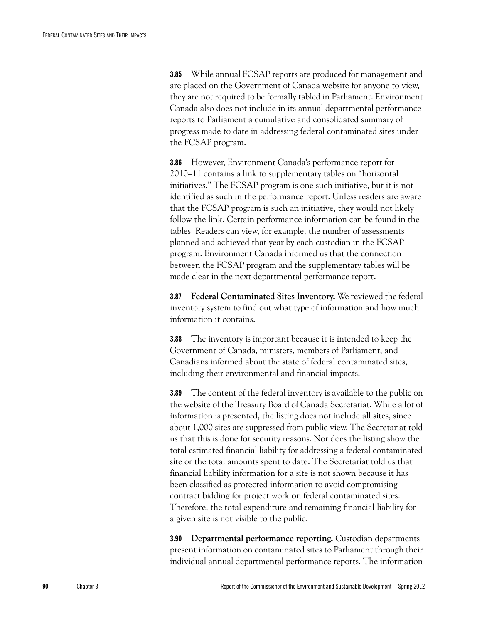**3.85** While annual FCSAP reports are produced for management and are placed on the Government of Canada website for anyone to view, they are not required to be formally tabled in Parliament. Environment Canada also does not include in its annual departmental performance reports to Parliament a cumulative and consolidated summary of progress made to date in addressing federal contaminated sites under the FCSAP program.

**3.86** However, Environment Canada's performance report for 2010–11 contains a link to supplementary tables on "horizontal initiatives." The FCSAP program is one such initiative, but it is not identified as such in the performance report. Unless readers are aware that the FCSAP program is such an initiative, they would not likely follow the link. Certain performance information can be found in the tables. Readers can view, for example, the number of assessments planned and achieved that year by each custodian in the FCSAP program. Environment Canada informed us that the connection between the FCSAP program and the supplementary tables will be made clear in the next departmental performance report.

**3.87 Federal Contaminated Sites Inventory.** We reviewed the federal inventory system to find out what type of information and how much information it contains.

**3.88** The inventory is important because it is intended to keep the Government of Canada, ministers, members of Parliament, and Canadians informed about the state of federal contaminated sites, including their environmental and financial impacts.

**3.89** The content of the federal inventory is available to the public on the website of the Treasury Board of Canada Secretariat. While a lot of information is presented, the listing does not include all sites, since about 1,000 sites are suppressed from public view. The Secretariat told us that this is done for security reasons. Nor does the listing show the total estimated financial liability for addressing a federal contaminated site or the total amounts spent to date. The Secretariat told us that financial liability information for a site is not shown because it has been classified as protected information to avoid compromising contract bidding for project work on federal contaminated sites. Therefore, the total expenditure and remaining financial liability for a given site is not visible to the public.

**3.90 Departmental performance reporting.** Custodian departments present information on contaminated sites to Parliament through their individual annual departmental performance reports. The information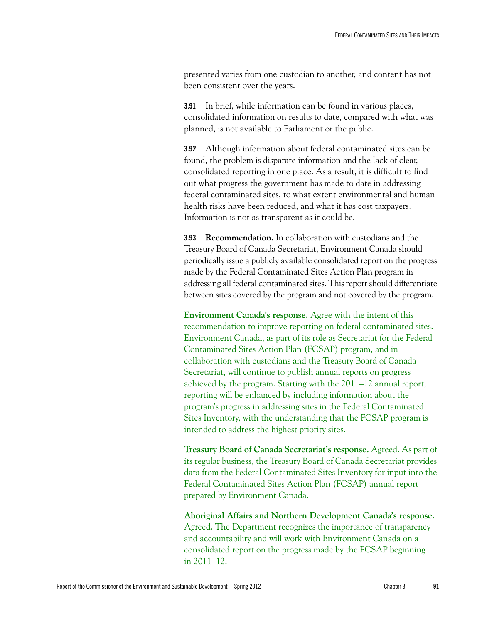presented varies from one custodian to another, and content has not been consistent over the years.

**3.91** In brief, while information can be found in various places, consolidated information on results to date, compared with what was planned, is not available to Parliament or the public.

**3.92** Although information about federal contaminated sites can be found, the problem is disparate information and the lack of clear, consolidated reporting in one place. As a result, it is difficult to find out what progress the government has made to date in addressing federal contaminated sites, to what extent environmental and human health risks have been reduced, and what it has cost taxpayers. Information is not as transparent as it could be.

**3.93 Recommendation.** In collaboration with custodians and the Treasury Board of Canada Secretariat, Environment Canada should periodically issue a publicly available consolidated report on the progress made by the Federal Contaminated Sites Action Plan program in addressing all federal contaminated sites. This report should differentiate between sites covered by the program and not covered by the program.

**Environment Canada's response.** Agree with the intent of this recommendation to improve reporting on federal contaminated sites. Environment Canada, as part of its role as Secretariat for the Federal Contaminated Sites Action Plan (FCSAP) program, and in collaboration with custodians and the Treasury Board of Canada Secretariat, will continue to publish annual reports on progress achieved by the program. Starting with the 2011–12 annual report, reporting will be enhanced by including information about the program's progress in addressing sites in the Federal Contaminated Sites Inventory, with the understanding that the FCSAP program is intended to address the highest priority sites.

**Treasury Board of Canada Secretariat's response.** Agreed. As part of its regular business, the Treasury Board of Canada Secretariat provides data from the Federal Contaminated Sites Inventory for input into the Federal Contaminated Sites Action Plan (FCSAP) annual report prepared by Environment Canada.

**Aboriginal Affairs and Northern Development Canada's response.** Agreed. The Department recognizes the importance of transparency and accountability and will work with Environment Canada on a consolidated report on the progress made by the FCSAP beginning in 2011–12.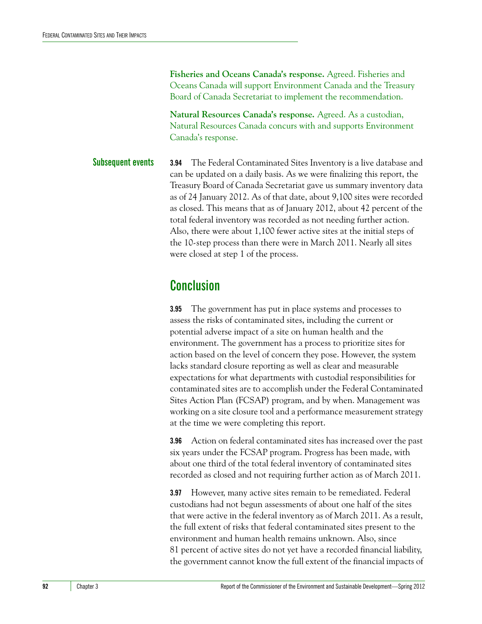**Fisheries and Oceans Canada's response.** Agreed. Fisheries and Oceans Canada will support Environment Canada and the Treasury Board of Canada Secretariat to implement the recommendation.

**Natural Resources Canada's response.** Agreed. As a custodian, Natural Resources Canada concurs with and supports Environment Canada's response.

<span id="page-33-0"></span>**Subsequent events 3.94** The Federal Contaminated Sites Inventory is a live database and can be updated on a daily basis. As we were finalizing this report, the Treasury Board of Canada Secretariat gave us summary inventory data as of 24 January 2012. As of that date, about 9,100 sites were recorded as closed. This means that as of January 2012, about 42 percent of the total federal inventory was recorded as not needing further action. Also, there were about 1,100 fewer active sites at the initial steps of the 10-step process than there were in March 2011. Nearly all sites were closed at step 1 of the process.

# <span id="page-33-1"></span>**Conclusion**

**3.95** The government has put in place systems and processes to assess the risks of contaminated sites, including the current or potential adverse impact of a site on human health and the environment. The government has a process to prioritize sites for action based on the level of concern they pose. However, the system lacks standard closure reporting as well as clear and measurable expectations for what departments with custodial responsibilities for contaminated sites are to accomplish under the Federal Contaminated Sites Action Plan (FCSAP) program, and by when. Management was working on a site closure tool and a performance measurement strategy at the time we were completing this report.

**3.96** Action on federal contaminated sites has increased over the past six years under the FCSAP program. Progress has been made, with about one third of the total federal inventory of contaminated sites recorded as closed and not requiring further action as of March 2011.

**3.97** However, many active sites remain to be remediated. Federal custodians had not begun assessments of about one half of the sites that were active in the federal inventory as of March 2011. As a result, the full extent of risks that federal contaminated sites present to the environment and human health remains unknown. Also, since 81 percent of active sites do not yet have a recorded financial liability, the government cannot know the full extent of the financial impacts of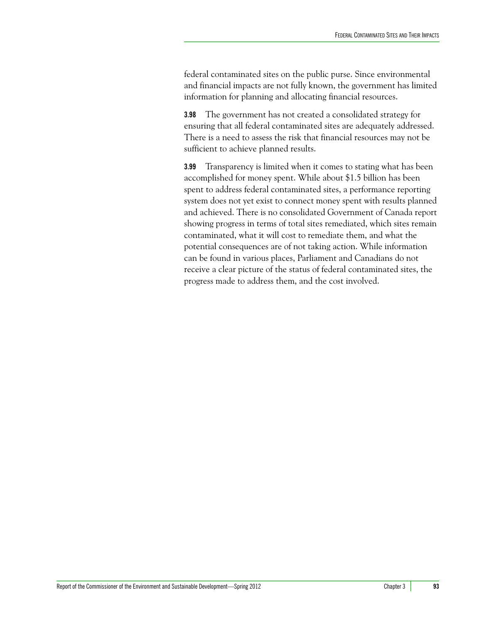federal contaminated sites on the public purse. Since environmental and financial impacts are not fully known, the government has limited information for planning and allocating financial resources.

**3.98** The government has not created a consolidated strategy for ensuring that all federal contaminated sites are adequately addressed. There is a need to assess the risk that financial resources may not be sufficient to achieve planned results.

**3.99** Transparency is limited when it comes to stating what has been accomplished for money spent. While about \$1.5 billion has been spent to address federal contaminated sites, a performance reporting system does not yet exist to connect money spent with results planned and achieved. There is no consolidated Government of Canada report showing progress in terms of total sites remediated, which sites remain contaminated, what it will cost to remediate them, and what the potential consequences are of not taking action. While information can be found in various places, Parliament and Canadians do not receive a clear picture of the status of federal contaminated sites, the progress made to address them, and the cost involved.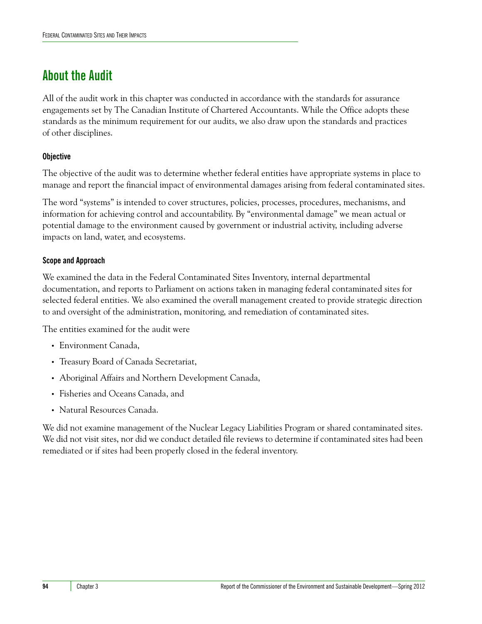# <span id="page-35-0"></span>**About the Audit**

All of the audit work in this chapter was conducted in accordance with the standards for assurance engagements set by The Canadian Institute of Chartered Accountants. While the Office adopts these standards as the minimum requirement for our audits, we also draw upon the standards and practices of other disciplines.

# **Objective**

The objective of the audit was to determine whether federal entities have appropriate systems in place to manage and report the financial impact of environmental damages arising from federal contaminated sites.

The word "systems" is intended to cover structures, policies, processes, procedures, mechanisms, and information for achieving control and accountability. By "environmental damage" we mean actual or potential damage to the environment caused by government or industrial activity, including adverse impacts on land, water, and ecosystems.

# **Scope and Approach**

We examined the data in the Federal Contaminated Sites Inventory, internal departmental documentation, and reports to Parliament on actions taken in managing federal contaminated sites for selected federal entities. We also examined the overall management created to provide strategic direction to and oversight of the administration, monitoring, and remediation of contaminated sites.

The entities examined for the audit were

- **•** Environment Canada,
- **•** Treasury Board of Canada Secretariat,
- **•** Aboriginal Affairs and Northern Development Canada,
- **•** Fisheries and Oceans Canada, and
- **•** Natural Resources Canada.

We did not examine management of the Nuclear Legacy Liabilities Program or shared contaminated sites. We did not visit sites, nor did we conduct detailed file reviews to determine if contaminated sites had been remediated or if sites had been properly closed in the federal inventory.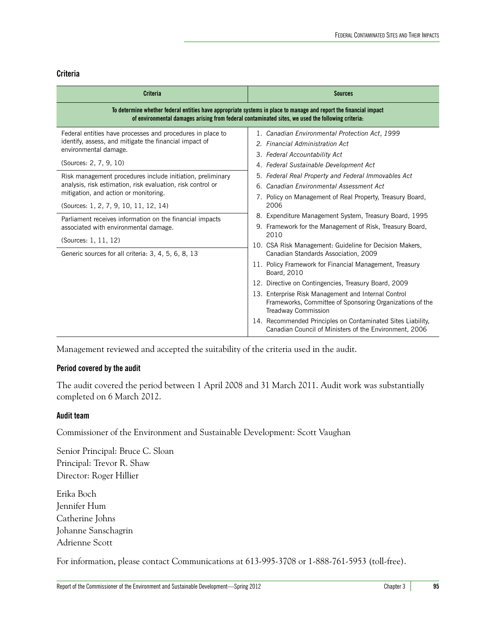### **Criteria**

| <b>Criteria</b>                                                                                                                                                                                                        | <b>Sources</b>                                                                                                                                                                                                 |  |
|------------------------------------------------------------------------------------------------------------------------------------------------------------------------------------------------------------------------|----------------------------------------------------------------------------------------------------------------------------------------------------------------------------------------------------------------|--|
| To determine whether federal entities have appropriate systems in place to manage and report the financial impact<br>of environmental damages arising from federal contaminated sites, we used the following criteria: |                                                                                                                                                                                                                |  |
| Federal entities have processes and procedures in place to<br>identify, assess, and mitigate the financial impact of<br>environmental damage.                                                                          | 1. Canadian Environmental Protection Act, 1999<br>2. Financial Administration Act<br>3. Federal Accountability Act                                                                                             |  |
| (Sources: 2, 7, 9, 10)<br>Risk management procedures include initiation, preliminary<br>analysis, risk estimation, risk evaluation, risk control or<br>mitigation, and action or monitoring.                           | 4. Federal Sustainable Development Act<br>5. Federal Real Property and Federal Immovables Act<br>6. Canadian Environmental Assessment Act<br>7. Policy on Management of Real Property, Treasury Board,<br>2006 |  |
| (Sources: 1, 2, 7, 9, 10, 11, 12, 14)<br>Parliament receives information on the financial impacts<br>associated with environmental damage.<br>(Sources: 1, 11, 12)                                                     | 8. Expenditure Management System, Treasury Board, 1995<br>9. Framework for the Management of Risk, Treasury Board,<br>2010<br>10. CSA Risk Management: Guideline for Decision Makers,                          |  |
| Generic sources for all criteria: 3, 4, 5, 6, 8, 13                                                                                                                                                                    | Canadian Standards Association, 2009<br>11. Policy Framework for Financial Management, Treasury<br>Board, 2010<br>12. Directive on Contingencies, Treasury Board, 2009                                         |  |
|                                                                                                                                                                                                                        | 13. Enterprise Risk Management and Internal Control<br>Frameworks, Committee of Sponsoring Organizations of the<br><b>Treadway Commission</b>                                                                  |  |
|                                                                                                                                                                                                                        | 14. Recommended Principles on Contaminated Sites Liability,<br>Canadian Council of Ministers of the Environment, 2006                                                                                          |  |

Management reviewed and accepted the suitability of the criteria used in the audit.

## **Period covered by the audit**

The audit covered the period between 1 April 2008 and 31 March 2011. Audit work was substantially completed on 6 March 2012.

## **Audit team**

Commissioner of the Environment and Sustainable Development: Scott Vaughan

Senior Principal: Bruce C. Sloan Principal: Trevor R. Shaw Director: Roger Hillier

Erika Boch Jennifer Hum Catherine Johns Johanne Sanschagrin Adrienne Scott

For information, please contact Communications at 613-995-3708 or 1-888-761-5953 (toll-free).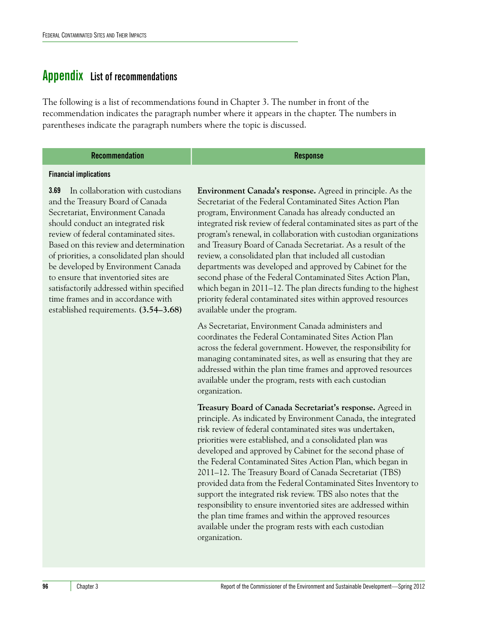# <span id="page-37-1"></span><span id="page-37-0"></span>**Appendix List of recommendations**

The following is a list of recommendations found in Chapter 3. The number in front of the recommendation indicates the paragraph number where it appears in the chapter. The numbers in parentheses indicate the paragraph numbers where the topic is discussed.

### **Recommendation Response**

#### **Financial implications**

**3.69** In collaboration with custodians and the Treasury Board of Canada Secretariat, Environment Canada should conduct an integrated risk review of federal contaminated sites. Based on this review and determination of priorities, a consolidated plan should be developed by Environment Canada to ensure that inventoried sites are satisfactorily addressed within specified time frames and in accordance with established requirements. **(3.54–3.68)**

**Environment Canada's response.** Agreed in principle. As the Secretariat of the Federal Contaminated Sites Action Plan program, Environment Canada has already conducted an integrated risk review of federal contaminated sites as part of the program's renewal, in collaboration with custodian organizations and Treasury Board of Canada Secretariat. As a result of the review, a consolidated plan that included all custodian departments was developed and approved by Cabinet for the second phase of the Federal Contaminated Sites Action Plan, which began in 2011–12. The plan directs funding to the highest priority federal contaminated sites within approved resources available under the program.

As Secretariat, Environment Canada administers and coordinates the Federal Contaminated Sites Action Plan across the federal government. However, the responsibility for managing contaminated sites, as well as ensuring that they are addressed within the plan time frames and approved resources available under the program, rests with each custodian organization.

**Treasury Board of Canada Secretariat's response.** Agreed in principle. As indicated by Environment Canada, the integrated risk review of federal contaminated sites was undertaken, priorities were established, and a consolidated plan was developed and approved by Cabinet for the second phase of the Federal Contaminated Sites Action Plan, which began in 2011–12. The Treasury Board of Canada Secretariat (TBS) provided data from the Federal Contaminated Sites Inventory to support the integrated risk review. TBS also notes that the responsibility to ensure inventoried sites are addressed within the plan time frames and within the approved resources available under the program rests with each custodian organization.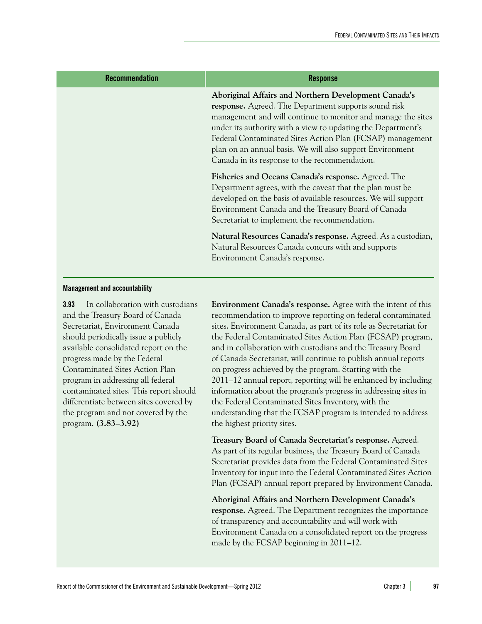| <b>Recommendation</b> | <b>Response</b>                                                                                                                                                                                                                                                                                                                                                                                                         |
|-----------------------|-------------------------------------------------------------------------------------------------------------------------------------------------------------------------------------------------------------------------------------------------------------------------------------------------------------------------------------------------------------------------------------------------------------------------|
|                       | Aboriginal Affairs and Northern Development Canada's<br>response. Agreed. The Department supports sound risk<br>management and will continue to monitor and manage the sites<br>under its authority with a view to updating the Department's<br>Federal Contaminated Sites Action Plan (FCSAP) management<br>plan on an annual basis. We will also support Environment<br>Canada in its response to the recommendation. |
|                       | Fisheries and Oceans Canada's response. Agreed. The<br>Department agrees, with the caveat that the plan must be<br>developed on the basis of available resources. We will support<br>Environment Canada and the Treasury Board of Canada<br>Secretariat to implement the recommendation.                                                                                                                                |
|                       | Natural Resources Canada's response. Agreed. As a custodian,<br>Natural Resources Canada concurs with and supports<br>Environment Canada's response.                                                                                                                                                                                                                                                                    |

### **Management and accountability**

**3.93** In collaboration with custodians and the Treasury Board of Canada Secretariat, Environment Canada should periodically issue a publicly available consolidated report on the progress made by the Federal Contaminated Sites Action Plan program in addressing all federal contaminated sites. This report should differentiate between sites covered by the program and not covered by the program. **(3.83–3.92)**

**Environment Canada's response.** Agree with the intent of this recommendation to improve reporting on federal contaminated sites. Environment Canada, as part of its role as Secretariat for the Federal Contaminated Sites Action Plan (FCSAP) program, and in collaboration with custodians and the Treasury Board of Canada Secretariat, will continue to publish annual reports on progress achieved by the program. Starting with the 2011–12 annual report, reporting will be enhanced by including information about the program's progress in addressing sites in the Federal Contaminated Sites Inventory, with the understanding that the FCSAP program is intended to address the highest priority sites.

**Treasury Board of Canada Secretariat's response.** Agreed. As part of its regular business, the Treasury Board of Canada Secretariat provides data from the Federal Contaminated Sites Inventory for input into the Federal Contaminated Sites Action Plan (FCSAP) annual report prepared by Environment Canada.

**Aboriginal Affairs and Northern Development Canada's response.** Agreed. The Department recognizes the importance of transparency and accountability and will work with Environment Canada on a consolidated report on the progress made by the FCSAP beginning in 2011–12.